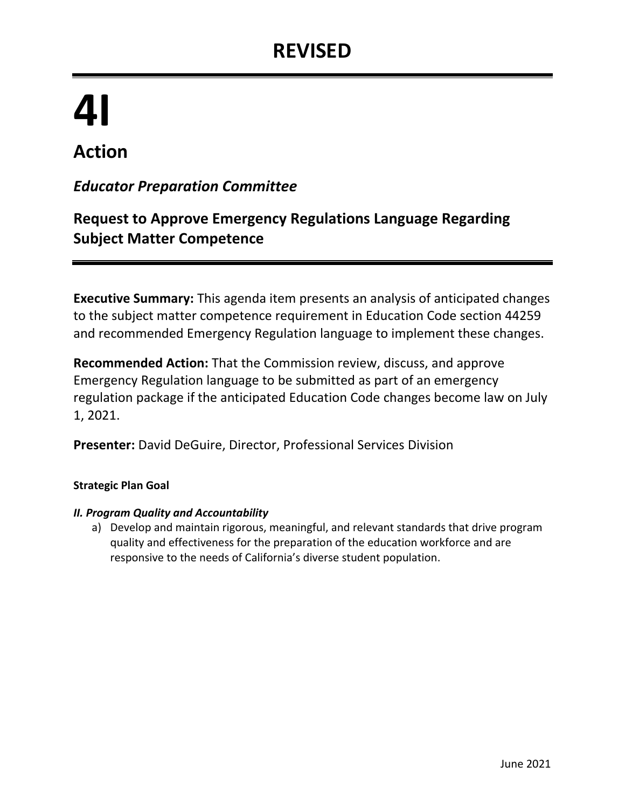# **4I**

### **Action**

### *Educator Preparation Committee*

### **Request to Approve Emergency Regulations Language Regarding Subject Matter Competence**

**Executive Summary:** This agenda item presents an analysis of anticipated changes to the subject matter competence requirement in Education Code section 44259 and recommended Emergency Regulation language to implement these changes.

**Recommended Action:** That the Commission review, discuss, and approve Emergency Regulation language to be submitted as part of an emergency regulation package if the anticipated Education Code changes become law on July 1, 2021.

**Presenter:** David DeGuire, Director, Professional Services Division

### **Strategic Plan Goal**

### *II. Program Quality and Accountability*

a) Develop and maintain rigorous, meaningful, and relevant standards that drive program quality and effectiveness for the preparation of the education workforce and are responsive to the needs of California's diverse student population.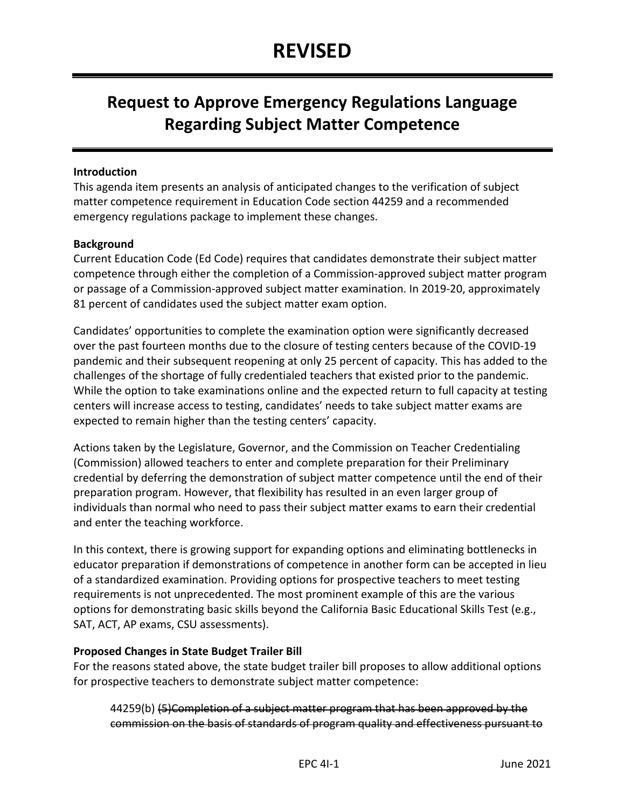### **Request to Approve Emergency Regulations Language Regarding Subject Matter Competence**

#### **Introduction**

This agenda item presents an analysis of anticipated changes to the verification of subject matter competence requirement in Education Code section 44259 and a recommended emergency regulations package to implement these changes.

#### **Background**

Current Education Code (Ed Code) requires that candidates demonstrate their subject matter competence through either the completion of a Commission-approved subject matter program or passage of a Commission-approved subject matter examination. In 2019-20, approximately 81 percent of candidates used the subject matter exam option.

Candidates' opportunities to complete the examination option were significantly decreased over the past fourteen months due to the closure of testing centers because of the COVID-19 pandemic and their subsequent reopening at only 25 percent of capacity. This has added to the challenges of the shortage of fully credentialed teachers that existed prior to the pandemic. While the option to take examinations online and the expected return to full capacity at testing centers will increase access to testing, candidates' needs to take subject matter exams are expected to remain higher than the testing centers' capacity.

Actions taken by the Legislature, Governor, and the Commission on Teacher Credentialing (Commission) allowed teachers to enter and complete preparation for their Preliminary credential by deferring the demonstration of subject matter competence until the end of their preparation program. However, that flexibility has resulted in an even larger group of individuals than normal who need to pass their subject matter exams to earn their credential and enter the teaching workforce.

In this context, there is growing support for expanding options and eliminating bottlenecks in educator preparation if demonstrations of competence in another form can be accepted in lieu of a standardized examination. Providing options for prospective teachers to meet testing requirements is not unprecedented. The most prominent example of this are the various options for demonstrating basic skills beyond the California Basic Educational Skills Test (e.g., SAT, ACT, AP exams, CSU assessments).

#### **Proposed Changes in State Budget Trailer Bill**

For the reasons stated above, the state budget trailer bill proposes to allow additional options for prospective teachers to demonstrate subject matter competence:

44259(b) (5)Completion of a subject matter program that has been approved by the commission on the basis of standards of program quality and effectiveness pursuant to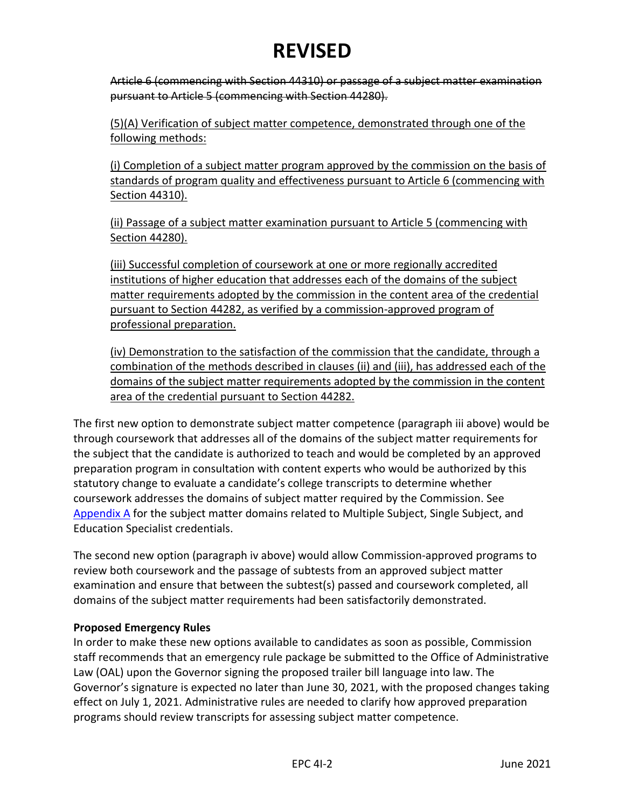Article 6 (commencing with Section 44310) or passage of a subject matter examination pursuant to Article 5 (commencing with Section 44280).

(5)(A) Verification of subject matter competence, demonstrated through one of the following methods:

(i) Completion of a subject matter program approved by the commission on the basis of standards of program quality and effectiveness pursuant to Article 6 (commencing with Section 44310).

(ii) Passage of a subject matter examination pursuant to Article 5 (commencing with Section 44280).

(iii) Successful completion of coursework at one or more regionally accredited institutions of higher education that addresses each of the domains of the subject matter requirements adopted by the commission in the content area of the credential pursuant to Section 44282, as verified by a commission-approved program of professional preparation.

(iv) Demonstration to the satisfaction of the commission that the candidate, through a combination of the methods described in clauses (ii) and (iii), has addressed each of the domains of the subject matter requirements adopted by the commission in the content area of the credential pursuant to Section 44282.

The first new option to demonstrate subject matter competence (paragraph iii above) would be through coursework that addresses all of the domains of the subject matter requirements for the subject that the candidate is authorized to teach and would be completed by an approved preparation program in consultation with content experts who would be authorized by this statutory change to evaluate a candidate's college transcripts to determine whether coursework addresses the domains of subject matter required by the Commission. See [Appendix A](#page-7-0) for the subject matter domains related to Multiple Subject, Single Subject, and Education Specialist credentials.

The second new option (paragraph iv above) would allow Commission-approved programs to review both coursework and the passage of subtests from an approved subject matter examination and ensure that between the subtest(s) passed and coursework completed, all domains of the subject matter requirements had been satisfactorily demonstrated.

### **Proposed Emergency Rules**

In order to make these new options available to candidates as soon as possible, Commission staff recommends that an emergency rule package be submitted to the Office of Administrative Law (OAL) upon the Governor signing the proposed trailer bill language into law. The Governor's signature is expected no later than June 30, 2021, with the proposed changes taking effect on July 1, 2021. Administrative rules are needed to clarify how approved preparation programs should review transcripts for assessing subject matter competence.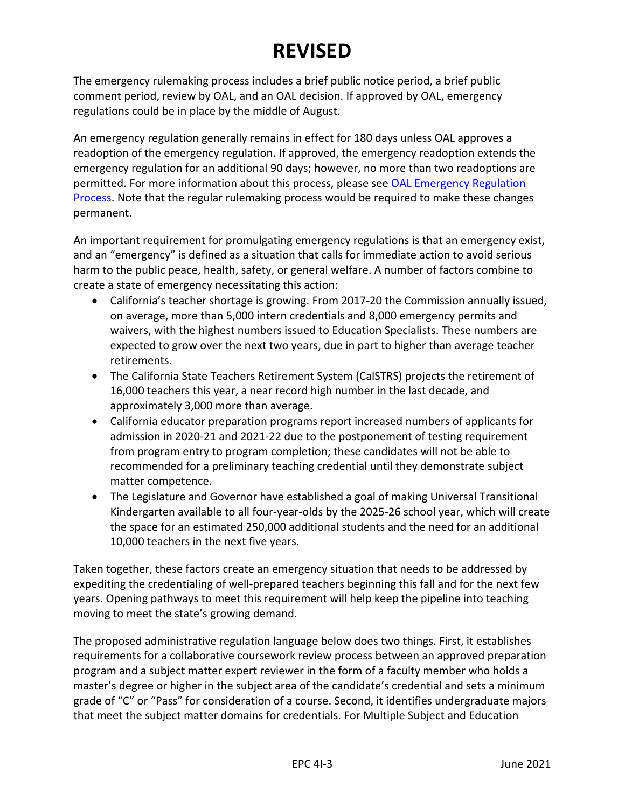The emergency rulemaking process includes a brief public notice period, a brief public comment period, review by OAL, and an OAL decision. If approved by OAL, emergency regulations could be in place by the middle of August.

An emergency regulation generally remains in effect for 180 days unless OAL approves a readoption of the emergency regulation. If approved, the emergency readoption extends the emergency regulation for an additional 90 days; however, no more than two readoptions are permitted. For more information about this process, please see [OAL Emergency Regulation](https://oal.ca.gov/emergency_regulations/Emergency_Regulation_Process/)  [Process.](https://oal.ca.gov/emergency_regulations/Emergency_Regulation_Process/) Note that the regular rulemaking process would be required to make these changes permanent.

An important requirement for promulgating emergency regulations is that an emergency exist, and an "emergency" is defined as a situation that calls for immediate action to avoid serious harm to the public peace, health, safety, or general welfare. A number of factors combine to create a state of emergency necessitating this action:

- California's teacher shortage is growing. From 2017-20 the Commission annually issued, on average, more than 5,000 intern credentials and 8,000 emergency permits and waivers, with the highest numbers issued to Education Specialists. These numbers are expected to grow over the next two years, due in part to higher than average teacher retirements.
- The California State Teachers Retirement System (CalSTRS) projects the retirement of 16,000 teachers this year, a near record high number in the last decade, and approximately 3,000 more than average.
- California educator preparation programs report increased numbers of applicants for admission in 2020-21 and 2021-22 due to the postponement of testing requirement from program entry to program completion; these candidates will not be able to recommended for a preliminary teaching credential until they demonstrate subject matter competence.
- The Legislature and Governor have established a goal of making Universal Transitional Kindergarten available to all four-year-olds by the 2025-26 school year, which will create the space for an estimated 250,000 additional students and the need for an additional 10,000 teachers in the next five years.

Taken together, these factors create an emergency situation that needs to be addressed by expediting the credentialing of well-prepared teachers beginning this fall and for the next few years. Opening pathways to meet this requirement will help keep the pipeline into teaching moving to meet the state's growing demand.

The proposed administrative regulation language below does two things. First, it establishes requirements for a collaborative coursework review process between an approved preparation program and a subject matter expert reviewer in the form of a faculty member who holds a master's degree or higher in the subject area of the candidate's credential and sets a minimum grade of "C" or "Pass" for consideration of a course. Second, it identifies undergraduate majors that meet the subject matter domains for credentials. For Multiple Subject and Education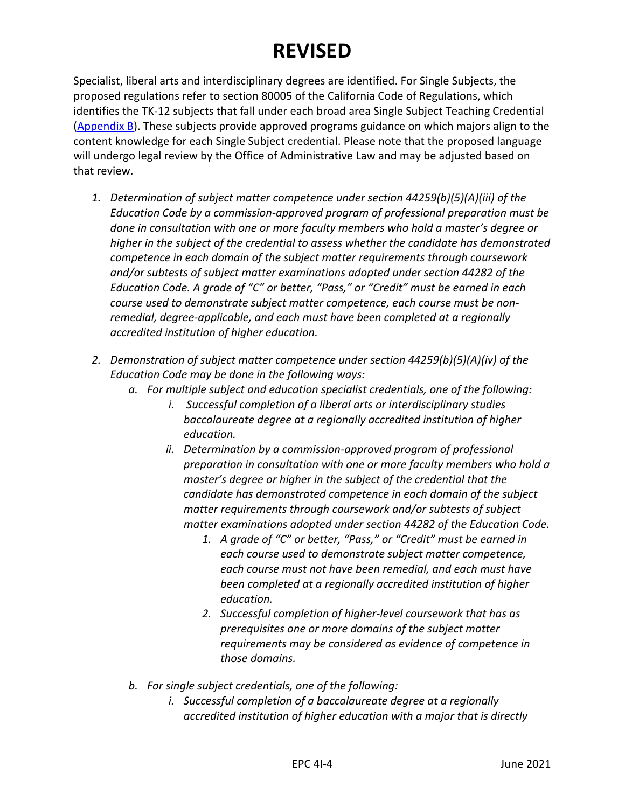Specialist, liberal arts and interdisciplinary degrees are identified. For Single Subjects, the proposed regulations refer to section 80005 of the California Code of Regulations, which identifies the TK-12 subjects that fall under each broad area Single Subject Teaching Credential [\(Appendix B\)](#page-34-0). These subjects provide approved programs guidance on which majors align to the content knowledge for each Single Subject credential. Please note that the proposed language will undergo legal review by the Office of Administrative Law and may be adjusted based on that review.

- *1. Determination of subject matter competence under section 44259(b)(5)(A)(iii) of the Education Code by a commission-approved program of professional preparation must be done in consultation with one or more faculty members who hold a master's degree or higher in the subject of the credential to assess whether the candidate has demonstrated competence in each domain of the subject matter requirements through coursework and/or subtests of subject matter examinations adopted under section 44282 of the Education Code. A grade of "C" or better, "Pass," or "Credit" must be earned in each course used to demonstrate subject matter competence, each course must be nonremedial, degree-applicable, and each must have been completed at a regionally accredited institution of higher education.*
- *2. Demonstration of subject matter competence under section 44259(b)(5)(A)(iv) of the Education Code may be done in the following ways:*
	- *a. For multiple subject and education specialist credentials, one of the following:*
		- *i. Successful completion of a liberal arts or interdisciplinary studies baccalaureate degree at a regionally accredited institution of higher education.*
		- *ii. Determination by a commission-approved program of professional preparation in consultation with one or more faculty members who hold a master's degree or higher in the subject of the credential that the candidate has demonstrated competence in each domain of the subject matter requirements through coursework and/or subtests of subject matter examinations adopted under section 44282 of the Education Code.*
			- *1. A grade of "C" or better, "Pass," or "Credit" must be earned in each course used to demonstrate subject matter competence, each course must not have been remedial, and each must have been completed at a regionally accredited institution of higher education.*
			- *2. Successful completion of higher-level coursework that has as prerequisites one or more domains of the subject matter requirements may be considered as evidence of competence in those domains.*
	- *b. For single subject credentials, one of the following:*
		- *i. Successful completion of a baccalaureate degree at a regionally accredited institution of higher education with a major that is directly*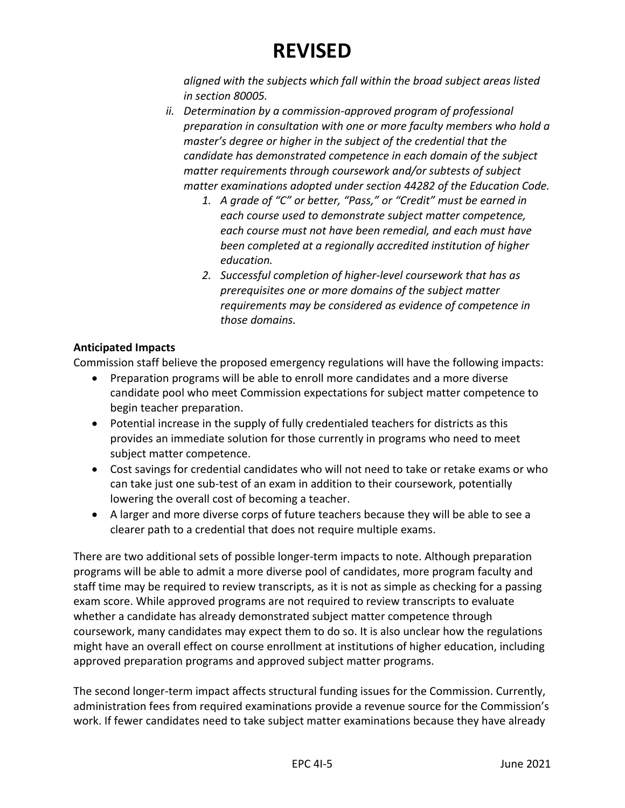*aligned with the subjects which fall within the broad subject areas listed in section 80005.*

- *ii. Determination by a commission-approved program of professional preparation in consultation with one or more faculty members who hold a master's degree or higher in the subject of the credential that the candidate has demonstrated competence in each domain of the subject matter requirements through coursework and/or subtests of subject matter examinations adopted under section 44282 of the Education Code.*
	- *1. A grade of "C" or better, "Pass," or "Credit" must be earned in each course used to demonstrate subject matter competence, each course must not have been remedial, and each must have been completed at a regionally accredited institution of higher education.*
	- *2. Successful completion of higher-level coursework that has as prerequisites one or more domains of the subject matter requirements may be considered as evidence of competence in those domains.*

### **Anticipated Impacts**

Commission staff believe the proposed emergency regulations will have the following impacts:

- Preparation programs will be able to enroll more candidates and a more diverse candidate pool who meet Commission expectations for subject matter competence to begin teacher preparation.
- Potential increase in the supply of fully credentialed teachers for districts as this provides an immediate solution for those currently in programs who need to meet subject matter competence.
- Cost savings for credential candidates who will not need to take or retake exams or who can take just one sub-test of an exam in addition to their coursework, potentially lowering the overall cost of becoming a teacher.
- A larger and more diverse corps of future teachers because they will be able to see a clearer path to a credential that does not require multiple exams.

There are two additional sets of possible longer-term impacts to note. Although preparation programs will be able to admit a more diverse pool of candidates, more program faculty and staff time may be required to review transcripts, as it is not as simple as checking for a passing exam score. While approved programs are not required to review transcripts to evaluate whether a candidate has already demonstrated subject matter competence through coursework, many candidates may expect them to do so. It is also unclear how the regulations might have an overall effect on course enrollment at institutions of higher education, including approved preparation programs and approved subject matter programs.

The second longer-term impact affects structural funding issues for the Commission. Currently, administration fees from required examinations provide a revenue source for the Commission's work. If fewer candidates need to take subject matter examinations because they have already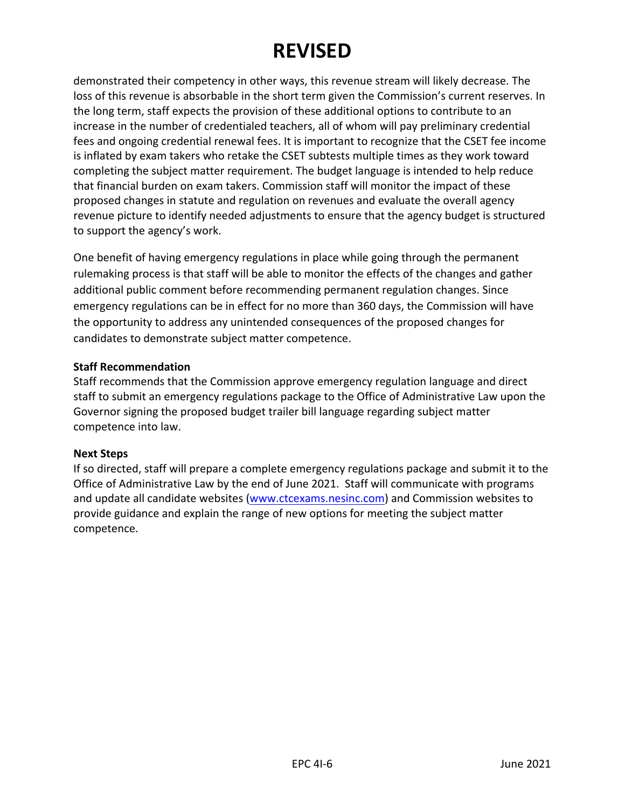demonstrated their competency in other ways, this revenue stream will likely decrease. The loss of this revenue is absorbable in the short term given the Commission's current reserves. In the long term, staff expects the provision of these additional options to contribute to an increase in the number of credentialed teachers, all of whom will pay preliminary credential fees and ongoing credential renewal fees. It is important to recognize that the CSET fee income is inflated by exam takers who retake the CSET subtests multiple times as they work toward completing the subject matter requirement. The budget language is intended to help reduce that financial burden on exam takers. Commission staff will monitor the impact of these proposed changes in statute and regulation on revenues and evaluate the overall agency revenue picture to identify needed adjustments to ensure that the agency budget is structured to support the agency's work.

One benefit of having emergency regulations in place while going through the permanent rulemaking process is that staff will be able to monitor the effects of the changes and gather additional public comment before recommending permanent regulation changes. Since emergency regulations can be in effect for no more than 360 days, the Commission will have the opportunity to address any unintended consequences of the proposed changes for candidates to demonstrate subject matter competence.

#### **Staff Recommendation**

Staff recommends that the Commission approve emergency regulation language and direct staff to submit an emergency regulations package to the Office of Administrative Law upon the Governor signing the proposed budget trailer bill language regarding subject matter competence into law.

#### **Next Steps**

If so directed, staff will prepare a complete emergency regulations package and submit it to the Office of Administrative Law by the end of June 2021. Staff will communicate with programs and update all candidate websites [\(www.ctcexams.nesinc.com\)](http://www.ctcexams.nesinc.com/) and Commission websites to provide guidance and explain the range of new options for meeting the subject matter competence.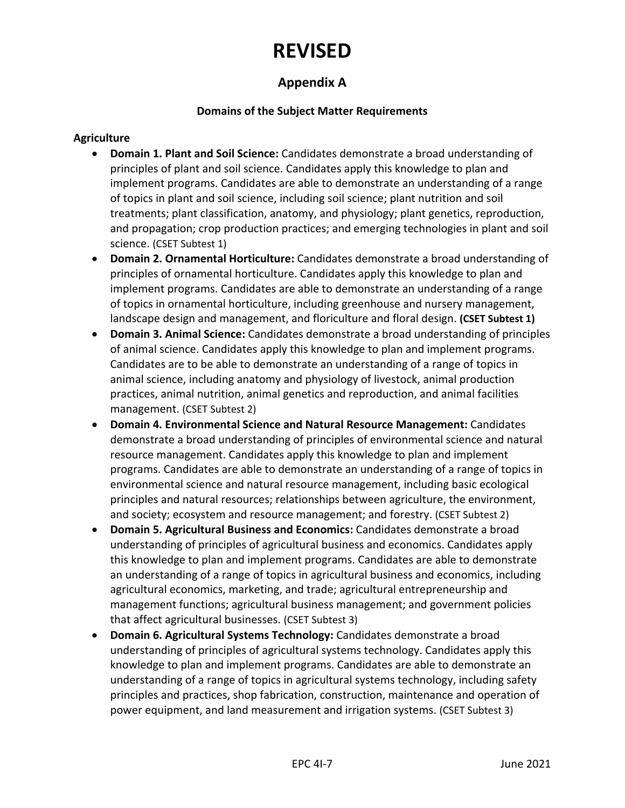### **Appendix A**

#### **Domains of the Subject Matter Requirements**

#### <span id="page-7-0"></span>**Agriculture**

- **Domain 1. Plant and Soil Science:** Candidates demonstrate a broad understanding of principles of plant and soil science. Candidates apply this knowledge to plan and implement programs. Candidates are able to demonstrate an understanding of a range of topics in plant and soil science, including soil science; plant nutrition and soil treatments; plant classification, anatomy, and physiology; plant genetics, reproduction, and propagation; crop production practices; and emerging technologies in plant and soil science. (CSET Subtest 1)
- **Domain 2. Ornamental Horticulture:** Candidates demonstrate a broad understanding of principles of ornamental horticulture. Candidates apply this knowledge to plan and implement programs. Candidates are able to demonstrate an understanding of a range of topics in ornamental horticulture, including greenhouse and nursery management, landscape design and management, and floriculture and floral design. **(CSET Subtest 1)**
- **Domain 3. Animal Science:** Candidates demonstrate a broad understanding of principles of animal science. Candidates apply this knowledge to plan and implement programs. Candidates are to be able to demonstrate an understanding of a range of topics in animal science, including anatomy and physiology of livestock, animal production practices, animal nutrition, animal genetics and reproduction, and animal facilities management. (CSET Subtest 2)
- **Domain 4. Environmental Science and Natural Resource Management:** Candidates demonstrate a broad understanding of principles of environmental science and natural resource management. Candidates apply this knowledge to plan and implement programs. Candidates are able to demonstrate an understanding of a range of topics in environmental science and natural resource management, including basic ecological principles and natural resources; relationships between agriculture, the environment, and society; ecosystem and resource management; and forestry. (CSET Subtest 2)
- **Domain 5. Agricultural Business and Economics:** Candidates demonstrate a broad understanding of principles of agricultural business and economics. Candidates apply this knowledge to plan and implement programs. Candidates are able to demonstrate an understanding of a range of topics in agricultural business and economics, including agricultural economics, marketing, and trade; agricultural entrepreneurship and management functions; agricultural business management; and government policies that affect agricultural businesses. (CSET Subtest 3)
- **Domain 6. Agricultural Systems Technology:** Candidates demonstrate a broad understanding of principles of agricultural systems technology. Candidates apply this knowledge to plan and implement programs. Candidates are able to demonstrate an understanding of a range of topics in agricultural systems technology, including safety principles and practices, shop fabrication, construction, maintenance and operation of power equipment, and land measurement and irrigation systems. (CSET Subtest 3)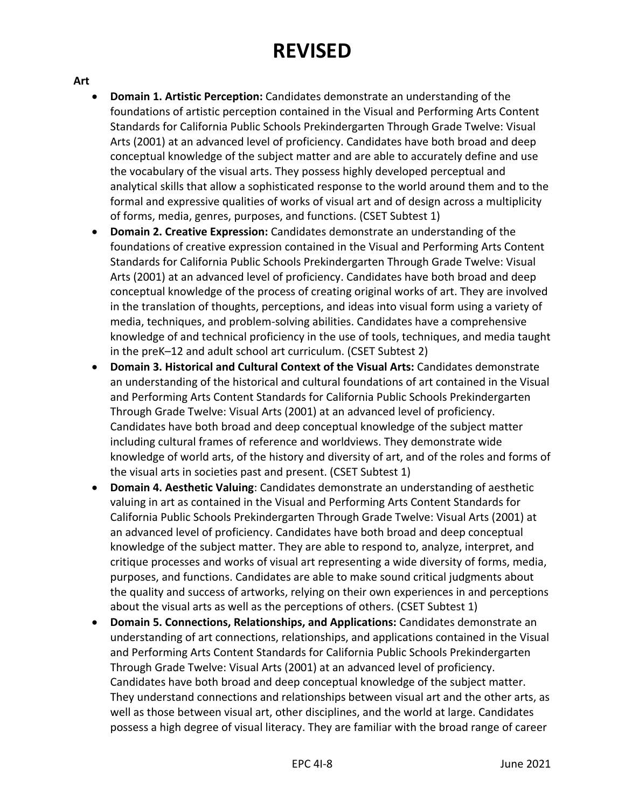#### **Art**

- **Domain 1. Artistic Perception:** Candidates demonstrate an understanding of the foundations of artistic perception contained in the Visual and Performing Arts Content Standards for California Public Schools Prekindergarten Through Grade Twelve: Visual Arts (2001) at an advanced level of proficiency. Candidates have both broad and deep conceptual knowledge of the subject matter and are able to accurately define and use the vocabulary of the visual arts. They possess highly developed perceptual and analytical skills that allow a sophisticated response to the world around them and to the formal and expressive qualities of works of visual art and of design across a multiplicity of forms, media, genres, purposes, and functions. (CSET Subtest 1)
- **Domain 2. Creative Expression:** Candidates demonstrate an understanding of the foundations of creative expression contained in the Visual and Performing Arts Content Standards for California Public Schools Prekindergarten Through Grade Twelve: Visual Arts (2001) at an advanced level of proficiency. Candidates have both broad and deep conceptual knowledge of the process of creating original works of art. They are involved in the translation of thoughts, perceptions, and ideas into visual form using a variety of media, techniques, and problem-solving abilities. Candidates have a comprehensive knowledge of and technical proficiency in the use of tools, techniques, and media taught in the preK–12 and adult school art curriculum. (CSET Subtest 2)
- **Domain 3. Historical and Cultural Context of the Visual Arts:** Candidates demonstrate an understanding of the historical and cultural foundations of art contained in the Visual and Performing Arts Content Standards for California Public Schools Prekindergarten Through Grade Twelve: Visual Arts (2001) at an advanced level of proficiency. Candidates have both broad and deep conceptual knowledge of the subject matter including cultural frames of reference and worldviews. They demonstrate wide knowledge of world arts, of the history and diversity of art, and of the roles and forms of the visual arts in societies past and present. (CSET Subtest 1)
- **Domain 4. Aesthetic Valuing**: Candidates demonstrate an understanding of aesthetic valuing in art as contained in the Visual and Performing Arts Content Standards for California Public Schools Prekindergarten Through Grade Twelve: Visual Arts (2001) at an advanced level of proficiency. Candidates have both broad and deep conceptual knowledge of the subject matter. They are able to respond to, analyze, interpret, and critique processes and works of visual art representing a wide diversity of forms, media, purposes, and functions. Candidates are able to make sound critical judgments about the quality and success of artworks, relying on their own experiences in and perceptions about the visual arts as well as the perceptions of others. (CSET Subtest 1)
- **Domain 5. Connections, Relationships, and Applications:** Candidates demonstrate an understanding of art connections, relationships, and applications contained in the Visual and Performing Arts Content Standards for California Public Schools Prekindergarten Through Grade Twelve: Visual Arts (2001) at an advanced level of proficiency. Candidates have both broad and deep conceptual knowledge of the subject matter. They understand connections and relationships between visual art and the other arts, as well as those between visual art, other disciplines, and the world at large. Candidates possess a high degree of visual literacy. They are familiar with the broad range of career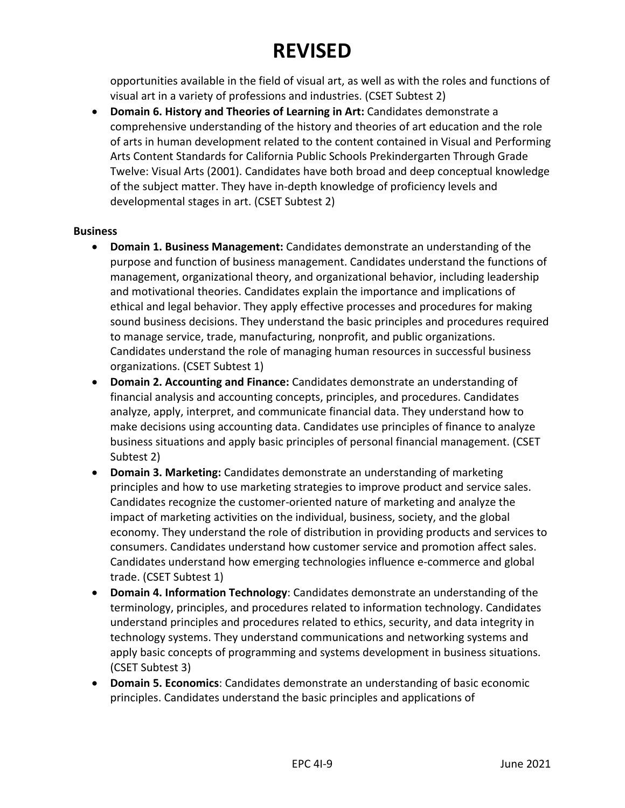opportunities available in the field of visual art, as well as with the roles and functions of visual art in a variety of professions and industries. (CSET Subtest 2)

• **Domain 6. History and Theories of Learning in Art:** Candidates demonstrate a comprehensive understanding of the history and theories of art education and the role of arts in human development related to the content contained in Visual and Performing Arts Content Standards for California Public Schools Prekindergarten Through Grade Twelve: Visual Arts (2001). Candidates have both broad and deep conceptual knowledge of the subject matter. They have in-depth knowledge of proficiency levels and developmental stages in art. (CSET Subtest 2)

#### **Business**

- **Domain 1. Business Management:** Candidates demonstrate an understanding of the purpose and function of business management. Candidates understand the functions of management, organizational theory, and organizational behavior, including leadership and motivational theories. Candidates explain the importance and implications of ethical and legal behavior. They apply effective processes and procedures for making sound business decisions. They understand the basic principles and procedures required to manage service, trade, manufacturing, nonprofit, and public organizations. Candidates understand the role of managing human resources in successful business organizations. (CSET Subtest 1)
- **Domain 2. Accounting and Finance:** Candidates demonstrate an understanding of financial analysis and accounting concepts, principles, and procedures. Candidates analyze, apply, interpret, and communicate financial data. They understand how to make decisions using accounting data. Candidates use principles of finance to analyze business situations and apply basic principles of personal financial management. (CSET Subtest 2)
- **Domain 3. Marketing:** Candidates demonstrate an understanding of marketing principles and how to use marketing strategies to improve product and service sales. Candidates recognize the customer-oriented nature of marketing and analyze the impact of marketing activities on the individual, business, society, and the global economy. They understand the role of distribution in providing products and services to consumers. Candidates understand how customer service and promotion affect sales. Candidates understand how emerging technologies influence e-commerce and global trade. (CSET Subtest 1)
- **Domain 4. Information Technology**: Candidates demonstrate an understanding of the terminology, principles, and procedures related to information technology. Candidates understand principles and procedures related to ethics, security, and data integrity in technology systems. They understand communications and networking systems and apply basic concepts of programming and systems development in business situations. (CSET Subtest 3)
- **Domain 5. Economics**: Candidates demonstrate an understanding of basic economic principles. Candidates understand the basic principles and applications of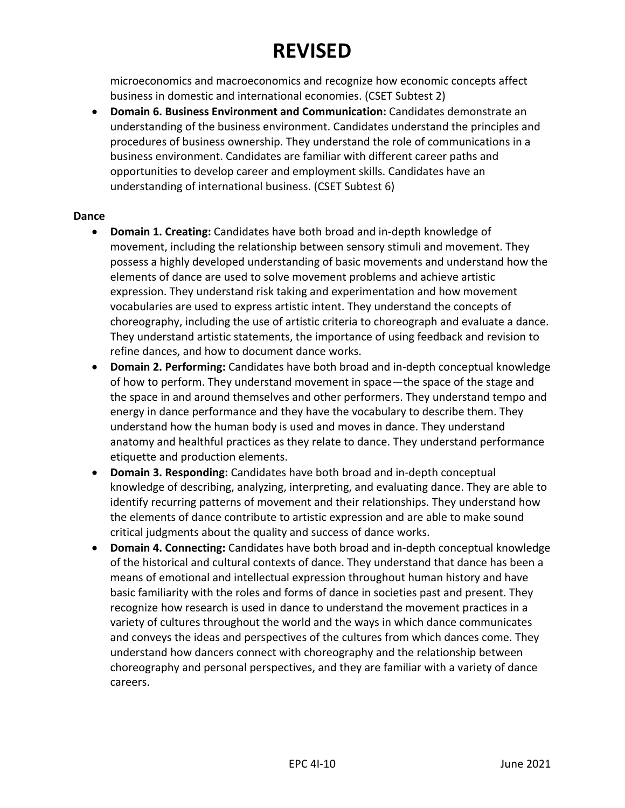microeconomics and macroeconomics and recognize how economic concepts affect business in domestic and international economies. (CSET Subtest 2)

• **Domain 6. Business Environment and Communication:** Candidates demonstrate an understanding of the business environment. Candidates understand the principles and procedures of business ownership. They understand the role of communications in a business environment. Candidates are familiar with different career paths and opportunities to develop career and employment skills. Candidates have an understanding of international business. (CSET Subtest 6)

#### **Dance**

- **Domain 1. Creating:** Candidates have both broad and in-depth knowledge of movement, including the relationship between sensory stimuli and movement. They possess a highly developed understanding of basic movements and understand how the elements of dance are used to solve movement problems and achieve artistic expression. They understand risk taking and experimentation and how movement vocabularies are used to express artistic intent. They understand the concepts of choreography, including the use of artistic criteria to choreograph and evaluate a dance. They understand artistic statements, the importance of using feedback and revision to refine dances, and how to document dance works.
- **Domain 2. Performing:** Candidates have both broad and in-depth conceptual knowledge of how to perform. They understand movement in space—the space of the stage and the space in and around themselves and other performers. They understand tempo and energy in dance performance and they have the vocabulary to describe them. They understand how the human body is used and moves in dance. They understand anatomy and healthful practices as they relate to dance. They understand performance etiquette and production elements.
- **Domain 3. Responding:** Candidates have both broad and in-depth conceptual knowledge of describing, analyzing, interpreting, and evaluating dance. They are able to identify recurring patterns of movement and their relationships. They understand how the elements of dance contribute to artistic expression and are able to make sound critical judgments about the quality and success of dance works.
- **Domain 4. Connecting:** Candidates have both broad and in-depth conceptual knowledge of the historical and cultural contexts of dance. They understand that dance has been a means of emotional and intellectual expression throughout human history and have basic familiarity with the roles and forms of dance in societies past and present. They recognize how research is used in dance to understand the movement practices in a variety of cultures throughout the world and the ways in which dance communicates and conveys the ideas and perspectives of the cultures from which dances come. They understand how dancers connect with choreography and the relationship between choreography and personal perspectives, and they are familiar with a variety of dance careers.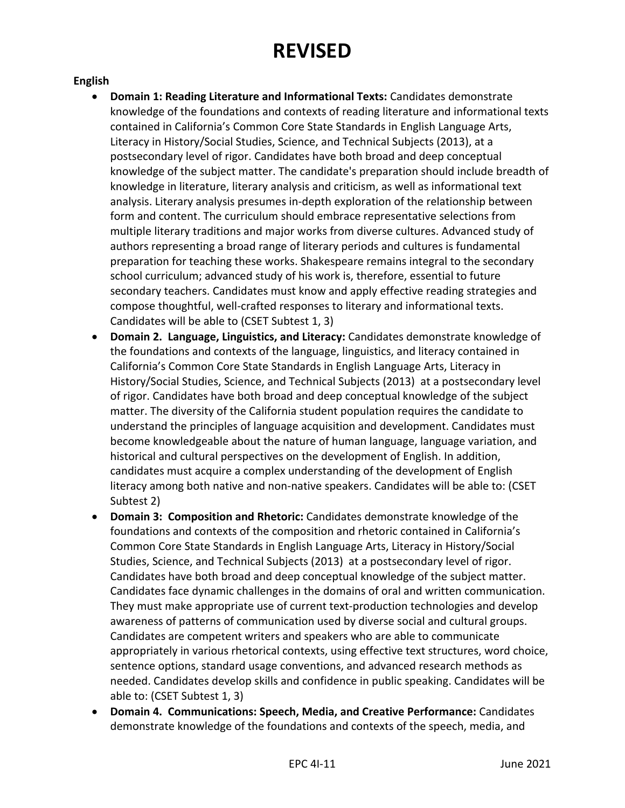#### **English**

- **Domain 1: Reading Literature and Informational Texts:** Candidates demonstrate knowledge of the foundations and contexts of reading literature and informational texts contained in California's Common Core State Standards in English Language Arts, Literacy in History/Social Studies, Science, and Technical Subjects (2013), at a postsecondary level of rigor. Candidates have both broad and deep conceptual knowledge of the subject matter. The candidate's preparation should include breadth of knowledge in literature, literary analysis and criticism, as well as informational text analysis. Literary analysis presumes in-depth exploration of the relationship between form and content. The curriculum should embrace representative selections from multiple literary traditions and major works from diverse cultures. Advanced study of authors representing a broad range of literary periods and cultures is fundamental preparation for teaching these works. Shakespeare remains integral to the secondary school curriculum; advanced study of his work is, therefore, essential to future secondary teachers. Candidates must know and apply effective reading strategies and compose thoughtful, well-crafted responses to literary and informational texts. Candidates will be able to (CSET Subtest 1, 3)
- **Domain 2. Language, Linguistics, and Literacy:** Candidates demonstrate knowledge of the foundations and contexts of the language, linguistics, and literacy contained in California's Common Core State Standards in English Language Arts, Literacy in History/Social Studies, Science, and Technical Subjects (2013) at a postsecondary level of rigor. Candidates have both broad and deep conceptual knowledge of the subject matter. The diversity of the California student population requires the candidate to understand the principles of language acquisition and development. Candidates must become knowledgeable about the nature of human language, language variation, and historical and cultural perspectives on the development of English. In addition, candidates must acquire a complex understanding of the development of English literacy among both native and non-native speakers. Candidates will be able to: (CSET Subtest 2)
- **Domain 3: Composition and Rhetoric:** Candidates demonstrate knowledge of the foundations and contexts of the composition and rhetoric contained in California's Common Core State Standards in English Language Arts, Literacy in History/Social Studies, Science, and Technical Subjects (2013) at a postsecondary level of rigor. Candidates have both broad and deep conceptual knowledge of the subject matter. Candidates face dynamic challenges in the domains of oral and written communication. They must make appropriate use of current text-production technologies and develop awareness of patterns of communication used by diverse social and cultural groups. Candidates are competent writers and speakers who are able to communicate appropriately in various rhetorical contexts, using effective text structures, word choice, sentence options, standard usage conventions, and advanced research methods as needed. Candidates develop skills and confidence in public speaking. Candidates will be able to: (CSET Subtest 1, 3)
- **Domain 4. Communications: Speech, Media, and Creative Performance:** Candidates demonstrate knowledge of the foundations and contexts of the speech, media, and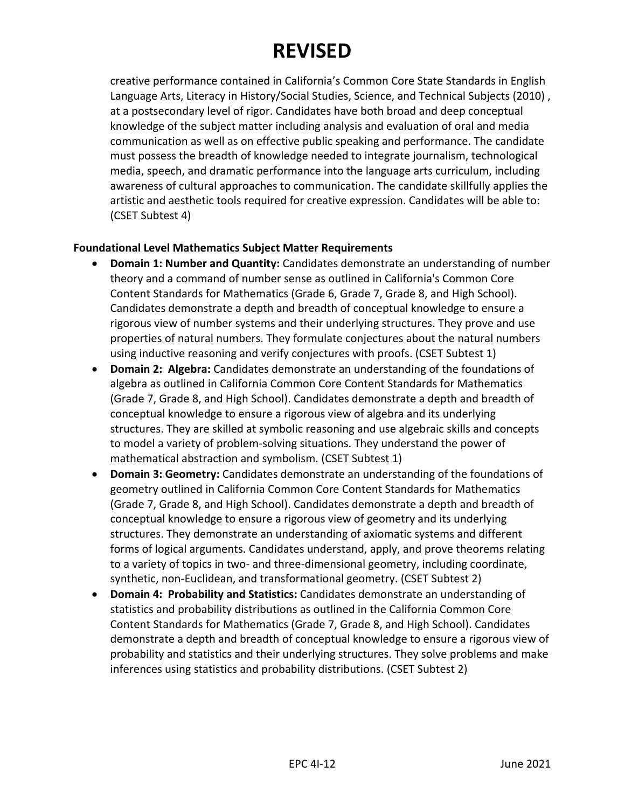creative performance contained in California's Common Core State Standards in English Language Arts, Literacy in History/Social Studies, Science, and Technical Subjects (2010) , at a postsecondary level of rigor. Candidates have both broad and deep conceptual knowledge of the subject matter including analysis and evaluation of oral and media communication as well as on effective public speaking and performance. The candidate must possess the breadth of knowledge needed to integrate journalism, technological media, speech, and dramatic performance into the language arts curriculum, including awareness of cultural approaches to communication. The candidate skillfully applies the artistic and aesthetic tools required for creative expression. Candidates will be able to: (CSET Subtest 4)

### **Foundational Level Mathematics Subject Matter Requirements**

- **Domain 1: Number and Quantity:** Candidates demonstrate an understanding of number theory and a command of number sense as outlined in California's Common Core Content Standards for Mathematics (Grade 6, Grade 7, Grade 8, and High School). Candidates demonstrate a depth and breadth of conceptual knowledge to ensure a rigorous view of number systems and their underlying structures. They prove and use properties of natural numbers. They formulate conjectures about the natural numbers using inductive reasoning and verify conjectures with proofs. (CSET Subtest 1)
- **Domain 2: Algebra:** Candidates demonstrate an understanding of the foundations of algebra as outlined in California Common Core Content Standards for Mathematics (Grade 7, Grade 8, and High School). Candidates demonstrate a depth and breadth of conceptual knowledge to ensure a rigorous view of algebra and its underlying structures. They are skilled at symbolic reasoning and use algebraic skills and concepts to model a variety of problem-solving situations. They understand the power of mathematical abstraction and symbolism. (CSET Subtest 1)
- **Domain 3: Geometry:** Candidates demonstrate an understanding of the foundations of geometry outlined in California Common Core Content Standards for Mathematics (Grade 7, Grade 8, and High School). Candidates demonstrate a depth and breadth of conceptual knowledge to ensure a rigorous view of geometry and its underlying structures. They demonstrate an understanding of axiomatic systems and different forms of logical arguments. Candidates understand, apply, and prove theorems relating to a variety of topics in two- and three-dimensional geometry, including coordinate, synthetic, non-Euclidean, and transformational geometry. (CSET Subtest 2)
- **Domain 4: Probability and Statistics:** Candidates demonstrate an understanding of statistics and probability distributions as outlined in the California Common Core Content Standards for Mathematics (Grade 7, Grade 8, and High School). Candidates demonstrate a depth and breadth of conceptual knowledge to ensure a rigorous view of probability and statistics and their underlying structures. They solve problems and make inferences using statistics and probability distributions. (CSET Subtest 2)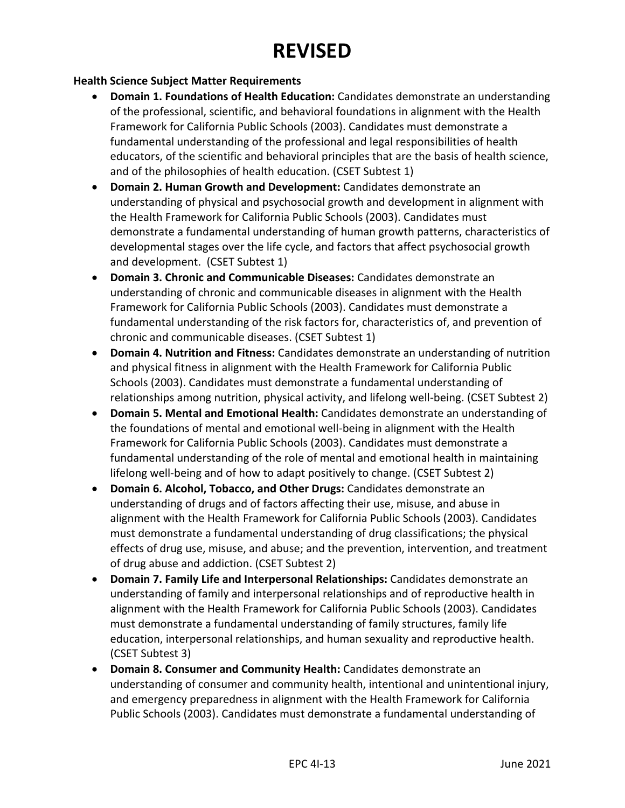### **Health Science Subject Matter Requirements**

- **Domain 1. Foundations of Health Education:** Candidates demonstrate an understanding of the professional, scientific, and behavioral foundations in alignment with the Health Framework for California Public Schools (2003). Candidates must demonstrate a fundamental understanding of the professional and legal responsibilities of health educators, of the scientific and behavioral principles that are the basis of health science, and of the philosophies of health education. (CSET Subtest 1)
- **Domain 2. Human Growth and Development:** Candidates demonstrate an understanding of physical and psychosocial growth and development in alignment with the Health Framework for California Public Schools (2003). Candidates must demonstrate a fundamental understanding of human growth patterns, characteristics of developmental stages over the life cycle, and factors that affect psychosocial growth and development. (CSET Subtest 1)
- **Domain 3. Chronic and Communicable Diseases:** Candidates demonstrate an understanding of chronic and communicable diseases in alignment with the Health Framework for California Public Schools (2003). Candidates must demonstrate a fundamental understanding of the risk factors for, characteristics of, and prevention of chronic and communicable diseases. (CSET Subtest 1)
- **Domain 4. Nutrition and Fitness:** Candidates demonstrate an understanding of nutrition and physical fitness in alignment with the Health Framework for California Public Schools (2003). Candidates must demonstrate a fundamental understanding of relationships among nutrition, physical activity, and lifelong well-being. (CSET Subtest 2)
- **Domain 5. Mental and Emotional Health:** Candidates demonstrate an understanding of the foundations of mental and emotional well-being in alignment with the Health Framework for California Public Schools (2003). Candidates must demonstrate a fundamental understanding of the role of mental and emotional health in maintaining lifelong well-being and of how to adapt positively to change. (CSET Subtest 2)
- **Domain 6. Alcohol, Tobacco, and Other Drugs:** Candidates demonstrate an understanding of drugs and of factors affecting their use, misuse, and abuse in alignment with the Health Framework for California Public Schools (2003). Candidates must demonstrate a fundamental understanding of drug classifications; the physical effects of drug use, misuse, and abuse; and the prevention, intervention, and treatment of drug abuse and addiction. (CSET Subtest 2)
- **Domain 7. Family Life and Interpersonal Relationships:** Candidates demonstrate an understanding of family and interpersonal relationships and of reproductive health in alignment with the Health Framework for California Public Schools (2003). Candidates must demonstrate a fundamental understanding of family structures, family life education, interpersonal relationships, and human sexuality and reproductive health. (CSET Subtest 3)
- **Domain 8. Consumer and Community Health:** Candidates demonstrate an understanding of consumer and community health, intentional and unintentional injury, and emergency preparedness in alignment with the Health Framework for California Public Schools (2003). Candidates must demonstrate a fundamental understanding of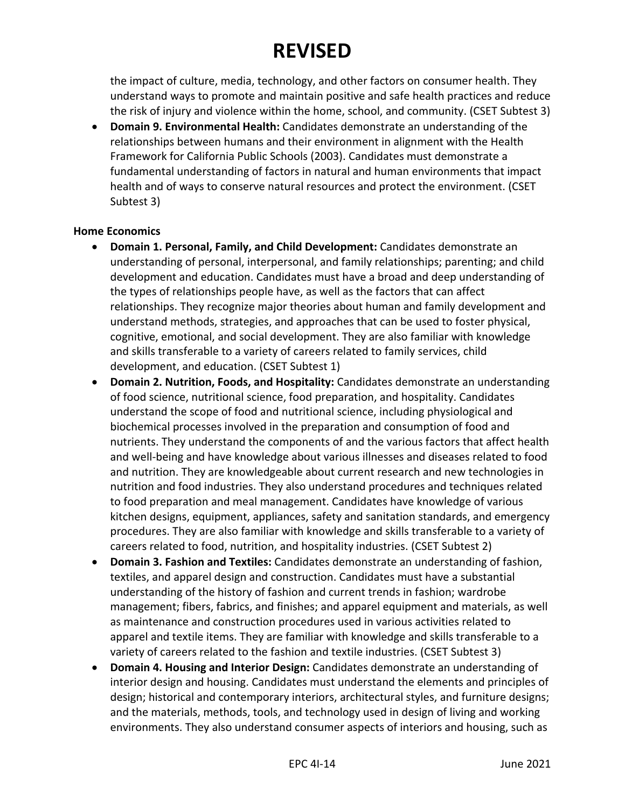the impact of culture, media, technology, and other factors on consumer health. They understand ways to promote and maintain positive and safe health practices and reduce the risk of injury and violence within the home, school, and community. (CSET Subtest 3)

• **Domain 9. Environmental Health:** Candidates demonstrate an understanding of the relationships between humans and their environment in alignment with the Health Framework for California Public Schools (2003). Candidates must demonstrate a fundamental understanding of factors in natural and human environments that impact health and of ways to conserve natural resources and protect the environment. (CSET Subtest 3)

#### **Home Economics**

- **Domain 1. Personal, Family, and Child Development:** Candidates demonstrate an understanding of personal, interpersonal, and family relationships; parenting; and child development and education. Candidates must have a broad and deep understanding of the types of relationships people have, as well as the factors that can affect relationships. They recognize major theories about human and family development and understand methods, strategies, and approaches that can be used to foster physical, cognitive, emotional, and social development. They are also familiar with knowledge and skills transferable to a variety of careers related to family services, child development, and education. (CSET Subtest 1)
- **Domain 2. Nutrition, Foods, and Hospitality:** Candidates demonstrate an understanding of food science, nutritional science, food preparation, and hospitality. Candidates understand the scope of food and nutritional science, including physiological and biochemical processes involved in the preparation and consumption of food and nutrients. They understand the components of and the various factors that affect health and well-being and have knowledge about various illnesses and diseases related to food and nutrition. They are knowledgeable about current research and new technologies in nutrition and food industries. They also understand procedures and techniques related to food preparation and meal management. Candidates have knowledge of various kitchen designs, equipment, appliances, safety and sanitation standards, and emergency procedures. They are also familiar with knowledge and skills transferable to a variety of careers related to food, nutrition, and hospitality industries. (CSET Subtest 2)
- **Domain 3. Fashion and Textiles:** Candidates demonstrate an understanding of fashion, textiles, and apparel design and construction. Candidates must have a substantial understanding of the history of fashion and current trends in fashion; wardrobe management; fibers, fabrics, and finishes; and apparel equipment and materials, as well as maintenance and construction procedures used in various activities related to apparel and textile items. They are familiar with knowledge and skills transferable to a variety of careers related to the fashion and textile industries. (CSET Subtest 3)
- **Domain 4. Housing and Interior Design:** Candidates demonstrate an understanding of interior design and housing. Candidates must understand the elements and principles of design; historical and contemporary interiors, architectural styles, and furniture designs; and the materials, methods, tools, and technology used in design of living and working environments. They also understand consumer aspects of interiors and housing, such as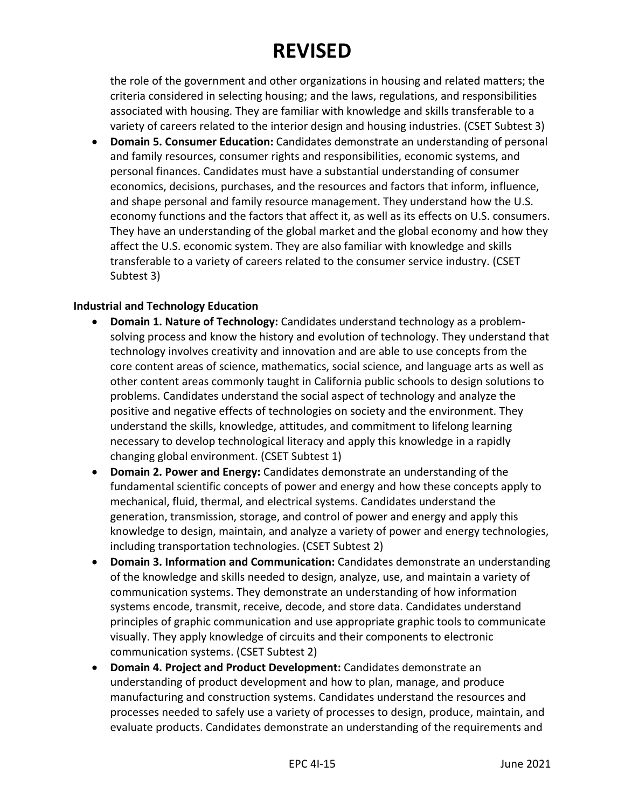the role of the government and other organizations in housing and related matters; the criteria considered in selecting housing; and the laws, regulations, and responsibilities associated with housing. They are familiar with knowledge and skills transferable to a variety of careers related to the interior design and housing industries. (CSET Subtest 3)

• **Domain 5. Consumer Education:** Candidates demonstrate an understanding of personal and family resources, consumer rights and responsibilities, economic systems, and personal finances. Candidates must have a substantial understanding of consumer economics, decisions, purchases, and the resources and factors that inform, influence, and shape personal and family resource management. They understand how the U.S. economy functions and the factors that affect it, as well as its effects on U.S. consumers. They have an understanding of the global market and the global economy and how they affect the U.S. economic system. They are also familiar with knowledge and skills transferable to a variety of careers related to the consumer service industry. (CSET Subtest 3)

#### **Industrial and Technology Education**

- **Domain 1. Nature of Technology:** Candidates understand technology as a problemsolving process and know the history and evolution of technology. They understand that technology involves creativity and innovation and are able to use concepts from the core content areas of science, mathematics, social science, and language arts as well as other content areas commonly taught in California public schools to design solutions to problems. Candidates understand the social aspect of technology and analyze the positive and negative effects of technologies on society and the environment. They understand the skills, knowledge, attitudes, and commitment to lifelong learning necessary to develop technological literacy and apply this knowledge in a rapidly changing global environment. (CSET Subtest 1)
- **Domain 2. Power and Energy:** Candidates demonstrate an understanding of the fundamental scientific concepts of power and energy and how these concepts apply to mechanical, fluid, thermal, and electrical systems. Candidates understand the generation, transmission, storage, and control of power and energy and apply this knowledge to design, maintain, and analyze a variety of power and energy technologies, including transportation technologies. (CSET Subtest 2)
- **Domain 3. Information and Communication:** Candidates demonstrate an understanding of the knowledge and skills needed to design, analyze, use, and maintain a variety of communication systems. They demonstrate an understanding of how information systems encode, transmit, receive, decode, and store data. Candidates understand principles of graphic communication and use appropriate graphic tools to communicate visually. They apply knowledge of circuits and their components to electronic communication systems. (CSET Subtest 2)
- **Domain 4. Project and Product Development:** Candidates demonstrate an understanding of product development and how to plan, manage, and produce manufacturing and construction systems. Candidates understand the resources and processes needed to safely use a variety of processes to design, produce, maintain, and evaluate products. Candidates demonstrate an understanding of the requirements and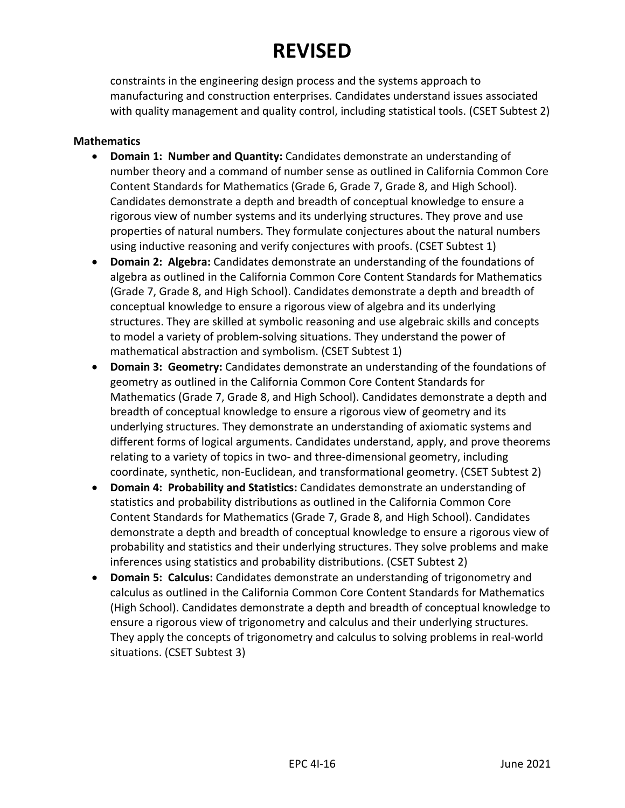constraints in the engineering design process and the systems approach to manufacturing and construction enterprises. Candidates understand issues associated with quality management and quality control, including statistical tools. (CSET Subtest 2)

#### **Mathematics**

- **Domain 1: Number and Quantity:** Candidates demonstrate an understanding of number theory and a command of number sense as outlined in California Common Core Content Standards for Mathematics (Grade 6, Grade 7, Grade 8, and High School). Candidates demonstrate a depth and breadth of conceptual knowledge to ensure a rigorous view of number systems and its underlying structures. They prove and use properties of natural numbers. They formulate conjectures about the natural numbers using inductive reasoning and verify conjectures with proofs. (CSET Subtest 1)
- **Domain 2: Algebra:** Candidates demonstrate an understanding of the foundations of algebra as outlined in the California Common Core Content Standards for Mathematics (Grade 7, Grade 8, and High School). Candidates demonstrate a depth and breadth of conceptual knowledge to ensure a rigorous view of algebra and its underlying structures. They are skilled at symbolic reasoning and use algebraic skills and concepts to model a variety of problem-solving situations. They understand the power of mathematical abstraction and symbolism. (CSET Subtest 1)
- **Domain 3: Geometry:** Candidates demonstrate an understanding of the foundations of geometry as outlined in the California Common Core Content Standards for Mathematics (Grade 7, Grade 8, and High School). Candidates demonstrate a depth and breadth of conceptual knowledge to ensure a rigorous view of geometry and its underlying structures. They demonstrate an understanding of axiomatic systems and different forms of logical arguments. Candidates understand, apply, and prove theorems relating to a variety of topics in two- and three-dimensional geometry, including coordinate, synthetic, non-Euclidean, and transformational geometry. (CSET Subtest 2)
- **Domain 4: Probability and Statistics:** Candidates demonstrate an understanding of statistics and probability distributions as outlined in the California Common Core Content Standards for Mathematics (Grade 7, Grade 8, and High School). Candidates demonstrate a depth and breadth of conceptual knowledge to ensure a rigorous view of probability and statistics and their underlying structures. They solve problems and make inferences using statistics and probability distributions. (CSET Subtest 2)
- **Domain 5: Calculus:** Candidates demonstrate an understanding of trigonometry and calculus as outlined in the California Common Core Content Standards for Mathematics (High School). Candidates demonstrate a depth and breadth of conceptual knowledge to ensure a rigorous view of trigonometry and calculus and their underlying structures. They apply the concepts of trigonometry and calculus to solving problems in real-world situations. (CSET Subtest 3)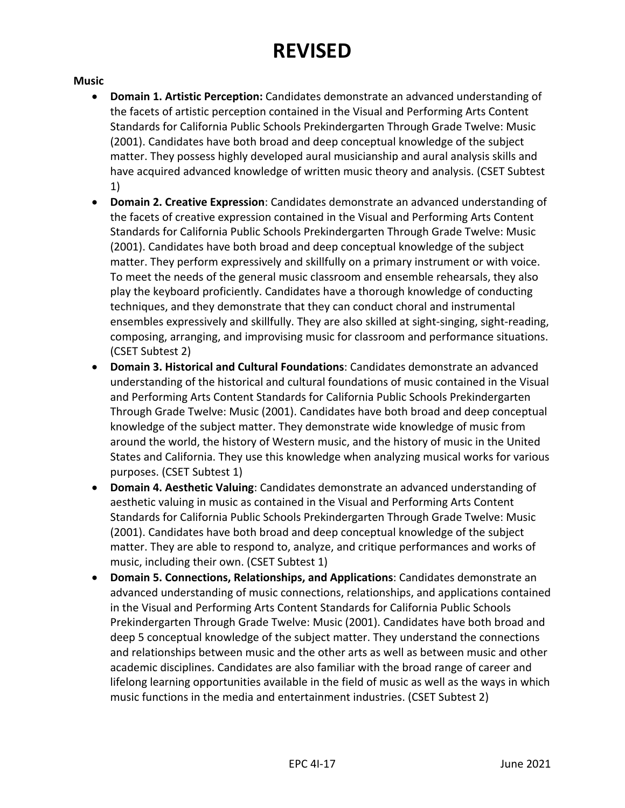#### **Music**

- **Domain 1. Artistic Perception:** Candidates demonstrate an advanced understanding of the facets of artistic perception contained in the Visual and Performing Arts Content Standards for California Public Schools Prekindergarten Through Grade Twelve: Music (2001). Candidates have both broad and deep conceptual knowledge of the subject matter. They possess highly developed aural musicianship and aural analysis skills and have acquired advanced knowledge of written music theory and analysis. (CSET Subtest 1)
- **Domain 2. Creative Expression**: Candidates demonstrate an advanced understanding of the facets of creative expression contained in the Visual and Performing Arts Content Standards for California Public Schools Prekindergarten Through Grade Twelve: Music (2001). Candidates have both broad and deep conceptual knowledge of the subject matter. They perform expressively and skillfully on a primary instrument or with voice. To meet the needs of the general music classroom and ensemble rehearsals, they also play the keyboard proficiently. Candidates have a thorough knowledge of conducting techniques, and they demonstrate that they can conduct choral and instrumental ensembles expressively and skillfully. They are also skilled at sight-singing, sight-reading, composing, arranging, and improvising music for classroom and performance situations. (CSET Subtest 2)
- **Domain 3. Historical and Cultural Foundations**: Candidates demonstrate an advanced understanding of the historical and cultural foundations of music contained in the Visual and Performing Arts Content Standards for California Public Schools Prekindergarten Through Grade Twelve: Music (2001). Candidates have both broad and deep conceptual knowledge of the subject matter. They demonstrate wide knowledge of music from around the world, the history of Western music, and the history of music in the United States and California. They use this knowledge when analyzing musical works for various purposes. (CSET Subtest 1)
- **Domain 4. Aesthetic Valuing**: Candidates demonstrate an advanced understanding of aesthetic valuing in music as contained in the Visual and Performing Arts Content Standards for California Public Schools Prekindergarten Through Grade Twelve: Music (2001). Candidates have both broad and deep conceptual knowledge of the subject matter. They are able to respond to, analyze, and critique performances and works of music, including their own. (CSET Subtest 1)
- **Domain 5. Connections, Relationships, and Applications**: Candidates demonstrate an advanced understanding of music connections, relationships, and applications contained in the Visual and Performing Arts Content Standards for California Public Schools Prekindergarten Through Grade Twelve: Music (2001). Candidates have both broad and deep 5 conceptual knowledge of the subject matter. They understand the connections and relationships between music and the other arts as well as between music and other academic disciplines. Candidates are also familiar with the broad range of career and lifelong learning opportunities available in the field of music as well as the ways in which music functions in the media and entertainment industries. (CSET Subtest 2)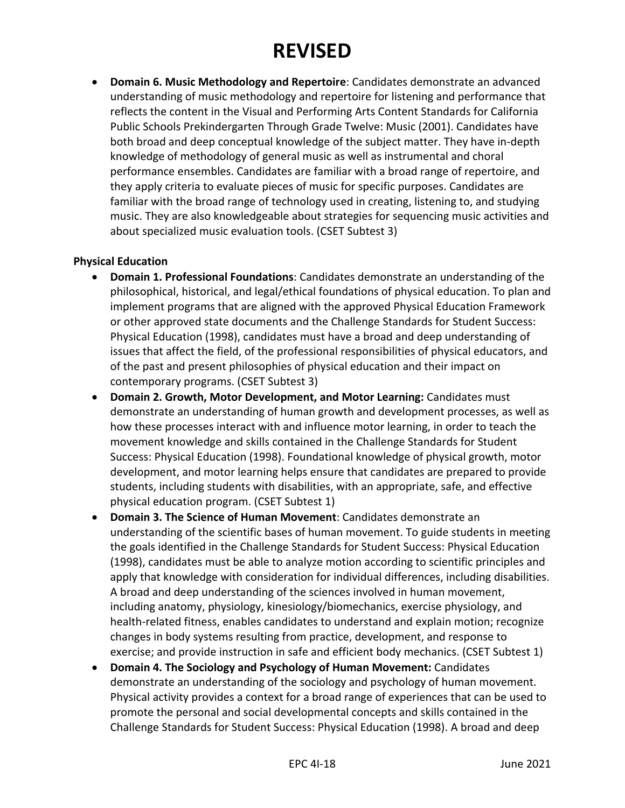• **Domain 6. Music Methodology and Repertoire**: Candidates demonstrate an advanced understanding of music methodology and repertoire for listening and performance that reflects the content in the Visual and Performing Arts Content Standards for California Public Schools Prekindergarten Through Grade Twelve: Music (2001). Candidates have both broad and deep conceptual knowledge of the subject matter. They have in-depth knowledge of methodology of general music as well as instrumental and choral performance ensembles. Candidates are familiar with a broad range of repertoire, and they apply criteria to evaluate pieces of music for specific purposes. Candidates are familiar with the broad range of technology used in creating, listening to, and studying music. They are also knowledgeable about strategies for sequencing music activities and about specialized music evaluation tools. (CSET Subtest 3)

#### **Physical Education**

- **Domain 1. Professional Foundations**: Candidates demonstrate an understanding of the philosophical, historical, and legal/ethical foundations of physical education. To plan and implement programs that are aligned with the approved Physical Education Framework or other approved state documents and the Challenge Standards for Student Success: Physical Education (1998), candidates must have a broad and deep understanding of issues that affect the field, of the professional responsibilities of physical educators, and of the past and present philosophies of physical education and their impact on contemporary programs. (CSET Subtest 3)
- **Domain 2. Growth, Motor Development, and Motor Learning:** Candidates must demonstrate an understanding of human growth and development processes, as well as how these processes interact with and influence motor learning, in order to teach the movement knowledge and skills contained in the Challenge Standards for Student Success: Physical Education (1998). Foundational knowledge of physical growth, motor development, and motor learning helps ensure that candidates are prepared to provide students, including students with disabilities, with an appropriate, safe, and effective physical education program. (CSET Subtest 1)
- **Domain 3. The Science of Human Movement**: Candidates demonstrate an understanding of the scientific bases of human movement. To guide students in meeting the goals identified in the Challenge Standards for Student Success: Physical Education (1998), candidates must be able to analyze motion according to scientific principles and apply that knowledge with consideration for individual differences, including disabilities. A broad and deep understanding of the sciences involved in human movement, including anatomy, physiology, kinesiology/biomechanics, exercise physiology, and health-related fitness, enables candidates to understand and explain motion; recognize changes in body systems resulting from practice, development, and response to exercise; and provide instruction in safe and efficient body mechanics. (CSET Subtest 1)
- **Domain 4. The Sociology and Psychology of Human Movement:** Candidates demonstrate an understanding of the sociology and psychology of human movement. Physical activity provides a context for a broad range of experiences that can be used to promote the personal and social developmental concepts and skills contained in the Challenge Standards for Student Success: Physical Education (1998). A broad and deep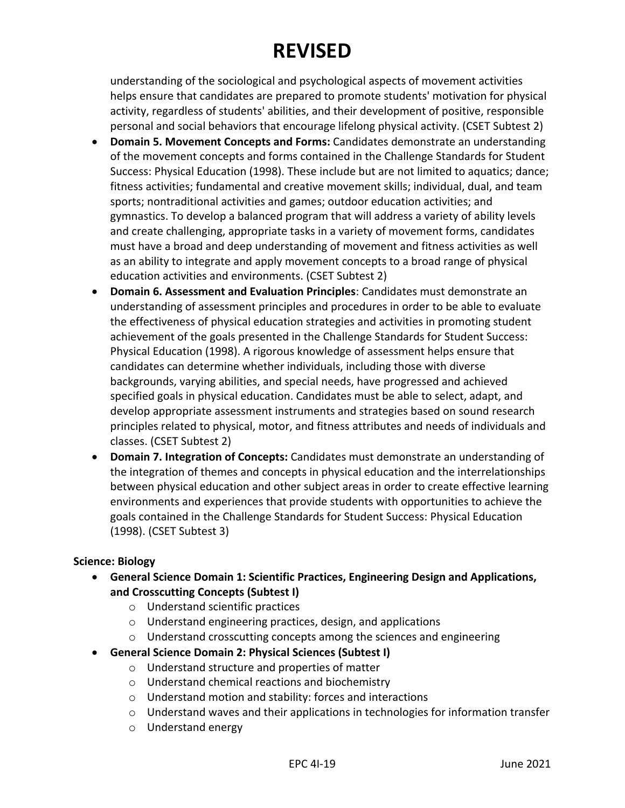understanding of the sociological and psychological aspects of movement activities helps ensure that candidates are prepared to promote students' motivation for physical activity, regardless of students' abilities, and their development of positive, responsible personal and social behaviors that encourage lifelong physical activity. (CSET Subtest 2)

- **Domain 5. Movement Concepts and Forms:** Candidates demonstrate an understanding of the movement concepts and forms contained in the Challenge Standards for Student Success: Physical Education (1998). These include but are not limited to aquatics; dance; fitness activities; fundamental and creative movement skills; individual, dual, and team sports; nontraditional activities and games; outdoor education activities; and gymnastics. To develop a balanced program that will address a variety of ability levels and create challenging, appropriate tasks in a variety of movement forms, candidates must have a broad and deep understanding of movement and fitness activities as well as an ability to integrate and apply movement concepts to a broad range of physical education activities and environments. (CSET Subtest 2)
- **Domain 6. Assessment and Evaluation Principles**: Candidates must demonstrate an understanding of assessment principles and procedures in order to be able to evaluate the effectiveness of physical education strategies and activities in promoting student achievement of the goals presented in the Challenge Standards for Student Success: Physical Education (1998). A rigorous knowledge of assessment helps ensure that candidates can determine whether individuals, including those with diverse backgrounds, varying abilities, and special needs, have progressed and achieved specified goals in physical education. Candidates must be able to select, adapt, and develop appropriate assessment instruments and strategies based on sound research principles related to physical, motor, and fitness attributes and needs of individuals and classes. (CSET Subtest 2)
- **Domain 7. Integration of Concepts:** Candidates must demonstrate an understanding of the integration of themes and concepts in physical education and the interrelationships between physical education and other subject areas in order to create effective learning environments and experiences that provide students with opportunities to achieve the goals contained in the Challenge Standards for Student Success: Physical Education (1998). (CSET Subtest 3)

#### **Science: Biology**

- **General Science Domain 1: Scientific Practices, Engineering Design and Applications, and Crosscutting Concepts (Subtest I)**
	- o Understand scientific practices
	- o Understand engineering practices, design, and applications
	- o Understand crosscutting concepts among the sciences and engineering
- **General Science Domain 2: Physical Sciences (Subtest I)**
	- o Understand structure and properties of matter
	- o Understand chemical reactions and biochemistry
	- o Understand motion and stability: forces and interactions
	- o Understand waves and their applications in technologies for information transfer
	- o Understand energy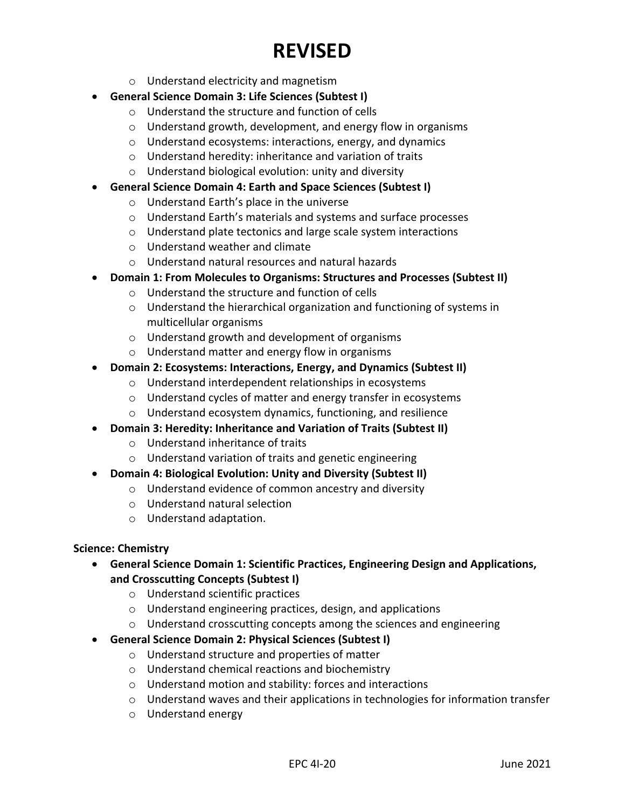- o Understand electricity and magnetism
- **General Science Domain 3: Life Sciences (Subtest I)**
	- o Understand the structure and function of cells
	- o Understand growth, development, and energy flow in organisms
	- o Understand ecosystems: interactions, energy, and dynamics
	- o Understand heredity: inheritance and variation of traits
	- o Understand biological evolution: unity and diversity
- **General Science Domain 4: Earth and Space Sciences (Subtest I)**
	- o Understand Earth's place in the universe
	- o Understand Earth's materials and systems and surface processes
	- o Understand plate tectonics and large scale system interactions
	- o Understand weather and climate
	- o Understand natural resources and natural hazards
- **Domain 1: From Molecules to Organisms: Structures and Processes (Subtest II)**
	- o Understand the structure and function of cells
	- o Understand the hierarchical organization and functioning of systems in multicellular organisms
	- o Understand growth and development of organisms
	- o Understand matter and energy flow in organisms
- **Domain 2: Ecosystems: Interactions, Energy, and Dynamics (Subtest II)**
	- o Understand interdependent relationships in ecosystems
	- o Understand cycles of matter and energy transfer in ecosystems
	- o Understand ecosystem dynamics, functioning, and resilience
- **Domain 3: Heredity: Inheritance and Variation of Traits (Subtest II)**
	- o Understand inheritance of traits
	- o Understand variation of traits and genetic engineering
- **Domain 4: Biological Evolution: Unity and Diversity (Subtest II)**
	- o Understand evidence of common ancestry and diversity
	- o Understand natural selection
	- o Understand adaptation.

### **Science: Chemistry**

- **General Science Domain 1: Scientific Practices, Engineering Design and Applications, and Crosscutting Concepts (Subtest I)**
	- o Understand scientific practices
	- o Understand engineering practices, design, and applications
	- o Understand crosscutting concepts among the sciences and engineering
- **General Science Domain 2: Physical Sciences (Subtest I)**
	- o Understand structure and properties of matter
	- o Understand chemical reactions and biochemistry
	- o Understand motion and stability: forces and interactions
	- o Understand waves and their applications in technologies for information transfer
	- o Understand energy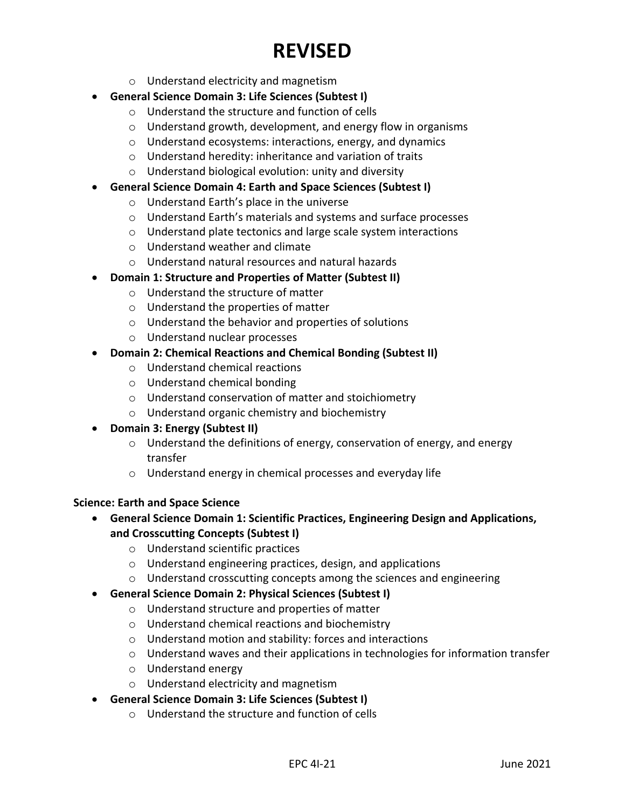- o Understand electricity and magnetism
- **General Science Domain 3: Life Sciences (Subtest I)**
	- o Understand the structure and function of cells
	- o Understand growth, development, and energy flow in organisms
	- o Understand ecosystems: interactions, energy, and dynamics
	- o Understand heredity: inheritance and variation of traits
	- o Understand biological evolution: unity and diversity
- **General Science Domain 4: Earth and Space Sciences (Subtest I)**
	- o Understand Earth's place in the universe
	- o Understand Earth's materials and systems and surface processes
	- o Understand plate tectonics and large scale system interactions
	- o Understand weather and climate
	- o Understand natural resources and natural hazards
- **Domain 1: Structure and Properties of Matter (Subtest II)**
	- o Understand the structure of matter
	- o Understand the properties of matter
	- o Understand the behavior and properties of solutions
	- o Understand nuclear processes
- **Domain 2: Chemical Reactions and Chemical Bonding (Subtest II)**
	- o Understand chemical reactions
	- o Understand chemical bonding
	- o Understand conservation of matter and stoichiometry
	- o Understand organic chemistry and biochemistry
- **Domain 3: Energy (Subtest II)**
	- o Understand the definitions of energy, conservation of energy, and energy transfer
	- o Understand energy in chemical processes and everyday life

### **Science: Earth and Space Science**

- **General Science Domain 1: Scientific Practices, Engineering Design and Applications, and Crosscutting Concepts (Subtest I)**
	- o Understand scientific practices
	- o Understand engineering practices, design, and applications
	- o Understand crosscutting concepts among the sciences and engineering
- **General Science Domain 2: Physical Sciences (Subtest I)**
	- o Understand structure and properties of matter
	- o Understand chemical reactions and biochemistry
	- o Understand motion and stability: forces and interactions
	- $\circ$  Understand waves and their applications in technologies for information transfer
	- o Understand energy
	- o Understand electricity and magnetism
- **General Science Domain 3: Life Sciences (Subtest I)**
	- o Understand the structure and function of cells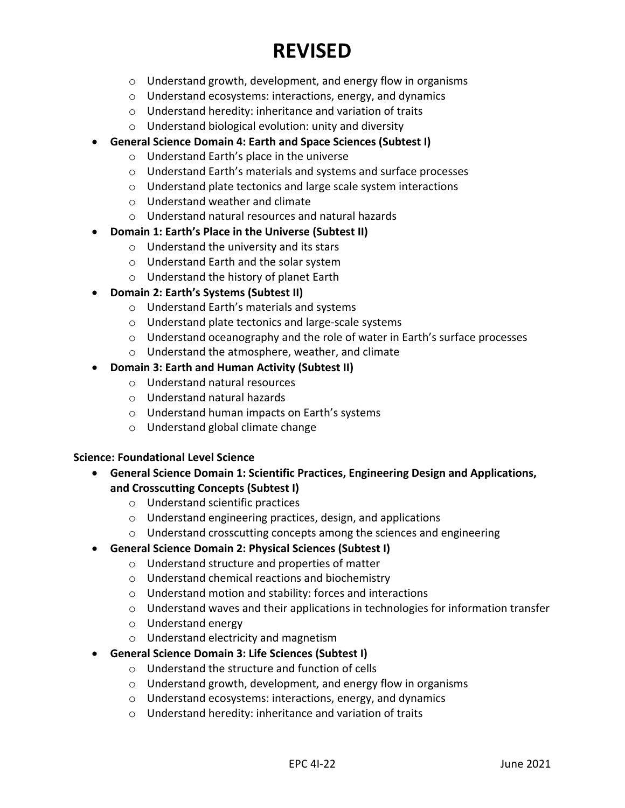- o Understand growth, development, and energy flow in organisms
- o Understand ecosystems: interactions, energy, and dynamics
- o Understand heredity: inheritance and variation of traits
- o Understand biological evolution: unity and diversity
- **General Science Domain 4: Earth and Space Sciences (Subtest I)**
	- o Understand Earth's place in the universe
	- o Understand Earth's materials and systems and surface processes
	- o Understand plate tectonics and large scale system interactions
	- o Understand weather and climate
	- o Understand natural resources and natural hazards
- **Domain 1: Earth's Place in the Universe (Subtest II)**
	- o Understand the university and its stars
	- o Understand Earth and the solar system
	- o Understand the history of planet Earth
- **Domain 2: Earth's Systems (Subtest II)**
	- o Understand Earth's materials and systems
	- o Understand plate tectonics and large-scale systems
	- $\circ$  Understand oceanography and the role of water in Earth's surface processes
	- o Understand the atmosphere, weather, and climate

### • **Domain 3: Earth and Human Activity (Subtest II)**

- o Understand natural resources
- o Understand natural hazards
- o Understand human impacts on Earth's systems
- o Understand global climate change

### **Science: Foundational Level Science**

- **General Science Domain 1: Scientific Practices, Engineering Design and Applications, and Crosscutting Concepts (Subtest I)**
	- o Understand scientific practices
	- o Understand engineering practices, design, and applications
	- o Understand crosscutting concepts among the sciences and engineering
- **General Science Domain 2: Physical Sciences (Subtest I)**
	- o Understand structure and properties of matter
	- o Understand chemical reactions and biochemistry
	- o Understand motion and stability: forces and interactions
	- $\circ$  Understand waves and their applications in technologies for information transfer
	- o Understand energy
	- o Understand electricity and magnetism
- **General Science Domain 3: Life Sciences (Subtest I)**
	- o Understand the structure and function of cells
	- o Understand growth, development, and energy flow in organisms
	- o Understand ecosystems: interactions, energy, and dynamics
	- o Understand heredity: inheritance and variation of traits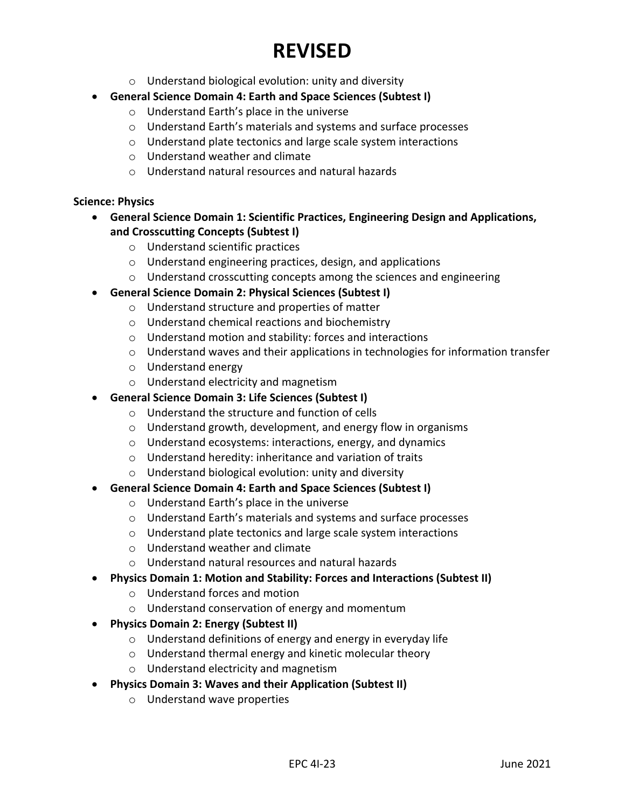- o Understand biological evolution: unity and diversity
- **General Science Domain 4: Earth and Space Sciences (Subtest I)**
	- o Understand Earth's place in the universe
	- o Understand Earth's materials and systems and surface processes
	- o Understand plate tectonics and large scale system interactions
	- o Understand weather and climate
	- o Understand natural resources and natural hazards

#### **Science: Physics**

- **General Science Domain 1: Scientific Practices, Engineering Design and Applications, and Crosscutting Concepts (Subtest I)**
	- o Understand scientific practices
	- o Understand engineering practices, design, and applications
	- o Understand crosscutting concepts among the sciences and engineering
- **General Science Domain 2: Physical Sciences (Subtest I)**
	- o Understand structure and properties of matter
	- o Understand chemical reactions and biochemistry
	- o Understand motion and stability: forces and interactions
	- $\circ$  Understand waves and their applications in technologies for information transfer
	- o Understand energy
	- o Understand electricity and magnetism
- **General Science Domain 3: Life Sciences (Subtest I)**
	- $\circ$  Understand the structure and function of cells
	- o Understand growth, development, and energy flow in organisms
	- o Understand ecosystems: interactions, energy, and dynamics
	- o Understand heredity: inheritance and variation of traits
	- o Understand biological evolution: unity and diversity
- **General Science Domain 4: Earth and Space Sciences (Subtest I)**
	- o Understand Earth's place in the universe
	- o Understand Earth's materials and systems and surface processes
	- o Understand plate tectonics and large scale system interactions
	- o Understand weather and climate
	- o Understand natural resources and natural hazards
- **Physics Domain 1: Motion and Stability: Forces and Interactions (Subtest II)**
	- o Understand forces and motion
	- o Understand conservation of energy and momentum
- **Physics Domain 2: Energy (Subtest II)**
	- o Understand definitions of energy and energy in everyday life
	- o Understand thermal energy and kinetic molecular theory
	- o Understand electricity and magnetism
- **Physics Domain 3: Waves and their Application (Subtest II)**
	- o Understand wave properties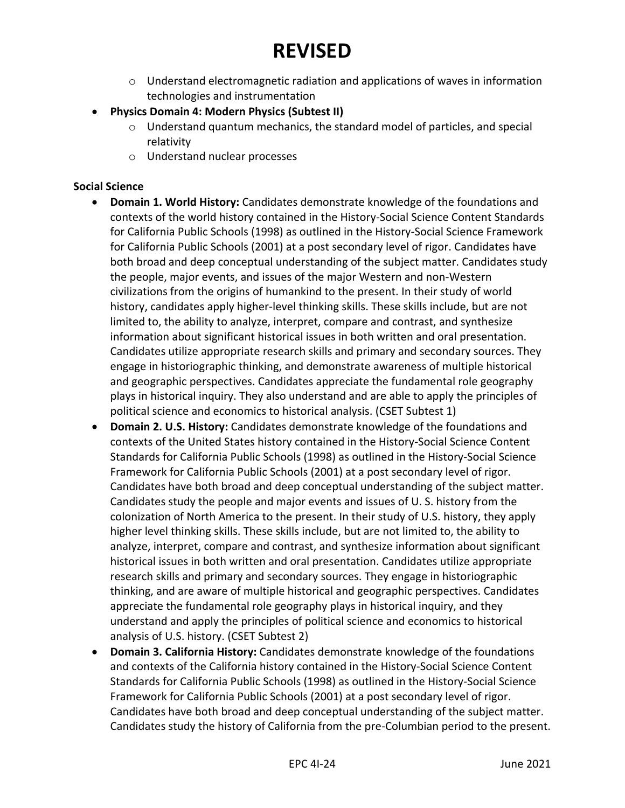- $\circ$  Understand electromagnetic radiation and applications of waves in information technologies and instrumentation
- **Physics Domain 4: Modern Physics (Subtest II)**
	- o Understand quantum mechanics, the standard model of particles, and special relativity
	- o Understand nuclear processes

### **Social Science**

- **Domain 1. World History:** Candidates demonstrate knowledge of the foundations and contexts of the world history contained in the History-Social Science Content Standards for California Public Schools (1998) as outlined in the History-Social Science Framework for California Public Schools (2001) at a post secondary level of rigor. Candidates have both broad and deep conceptual understanding of the subject matter. Candidates study the people, major events, and issues of the major Western and non-Western civilizations from the origins of humankind to the present. In their study of world history, candidates apply higher-level thinking skills. These skills include, but are not limited to, the ability to analyze, interpret, compare and contrast, and synthesize information about significant historical issues in both written and oral presentation. Candidates utilize appropriate research skills and primary and secondary sources. They engage in historiographic thinking, and demonstrate awareness of multiple historical and geographic perspectives. Candidates appreciate the fundamental role geography plays in historical inquiry. They also understand and are able to apply the principles of political science and economics to historical analysis. (CSET Subtest 1)
- **Domain 2. U.S. History:** Candidates demonstrate knowledge of the foundations and contexts of the United States history contained in the History-Social Science Content Standards for California Public Schools (1998) as outlined in the History-Social Science Framework for California Public Schools (2001) at a post secondary level of rigor. Candidates have both broad and deep conceptual understanding of the subject matter. Candidates study the people and major events and issues of U. S. history from the colonization of North America to the present. In their study of U.S. history, they apply higher level thinking skills. These skills include, but are not limited to, the ability to analyze, interpret, compare and contrast, and synthesize information about significant historical issues in both written and oral presentation. Candidates utilize appropriate research skills and primary and secondary sources. They engage in historiographic thinking, and are aware of multiple historical and geographic perspectives. Candidates appreciate the fundamental role geography plays in historical inquiry, and they understand and apply the principles of political science and economics to historical analysis of U.S. history. (CSET Subtest 2)
- **Domain 3. California History:** Candidates demonstrate knowledge of the foundations and contexts of the California history contained in the History-Social Science Content Standards for California Public Schools (1998) as outlined in the History-Social Science Framework for California Public Schools (2001) at a post secondary level of rigor. Candidates have both broad and deep conceptual understanding of the subject matter. Candidates study the history of California from the pre-Columbian period to the present.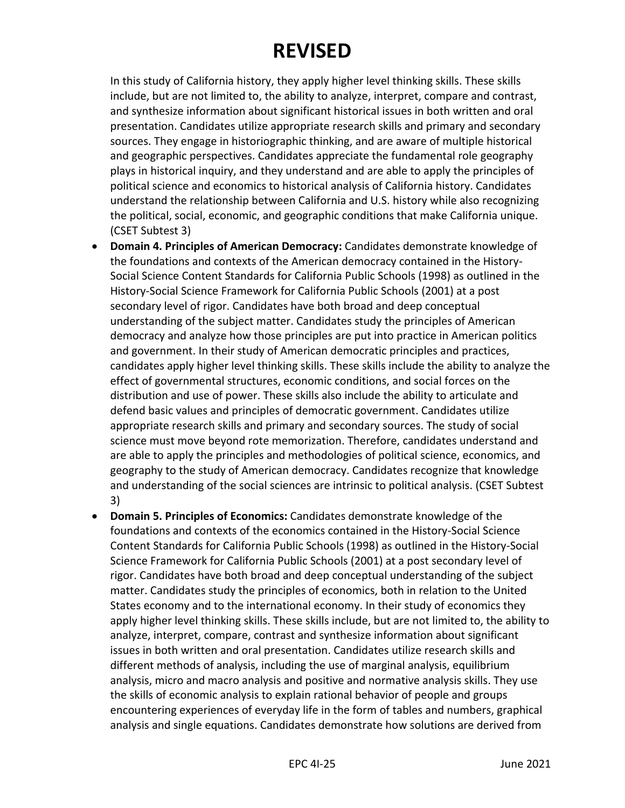In this study of California history, they apply higher level thinking skills. These skills include, but are not limited to, the ability to analyze, interpret, compare and contrast, and synthesize information about significant historical issues in both written and oral presentation. Candidates utilize appropriate research skills and primary and secondary sources. They engage in historiographic thinking, and are aware of multiple historical and geographic perspectives. Candidates appreciate the fundamental role geography plays in historical inquiry, and they understand and are able to apply the principles of political science and economics to historical analysis of California history. Candidates understand the relationship between California and U.S. history while also recognizing the political, social, economic, and geographic conditions that make California unique. (CSET Subtest 3)

- **Domain 4. Principles of American Democracy:** Candidates demonstrate knowledge of the foundations and contexts of the American democracy contained in the History-Social Science Content Standards for California Public Schools (1998) as outlined in the History-Social Science Framework for California Public Schools (2001) at a post secondary level of rigor. Candidates have both broad and deep conceptual understanding of the subject matter. Candidates study the principles of American democracy and analyze how those principles are put into practice in American politics and government. In their study of American democratic principles and practices, candidates apply higher level thinking skills. These skills include the ability to analyze the effect of governmental structures, economic conditions, and social forces on the distribution and use of power. These skills also include the ability to articulate and defend basic values and principles of democratic government. Candidates utilize appropriate research skills and primary and secondary sources. The study of social science must move beyond rote memorization. Therefore, candidates understand and are able to apply the principles and methodologies of political science, economics, and geography to the study of American democracy. Candidates recognize that knowledge and understanding of the social sciences are intrinsic to political analysis. (CSET Subtest 3)
- **Domain 5. Principles of Economics:** Candidates demonstrate knowledge of the foundations and contexts of the economics contained in the History-Social Science Content Standards for California Public Schools (1998) as outlined in the History-Social Science Framework for California Public Schools (2001) at a post secondary level of rigor. Candidates have both broad and deep conceptual understanding of the subject matter. Candidates study the principles of economics, both in relation to the United States economy and to the international economy. In their study of economics they apply higher level thinking skills. These skills include, but are not limited to, the ability to analyze, interpret, compare, contrast and synthesize information about significant issues in both written and oral presentation. Candidates utilize research skills and different methods of analysis, including the use of marginal analysis, equilibrium analysis, micro and macro analysis and positive and normative analysis skills. They use the skills of economic analysis to explain rational behavior of people and groups encountering experiences of everyday life in the form of tables and numbers, graphical analysis and single equations. Candidates demonstrate how solutions are derived from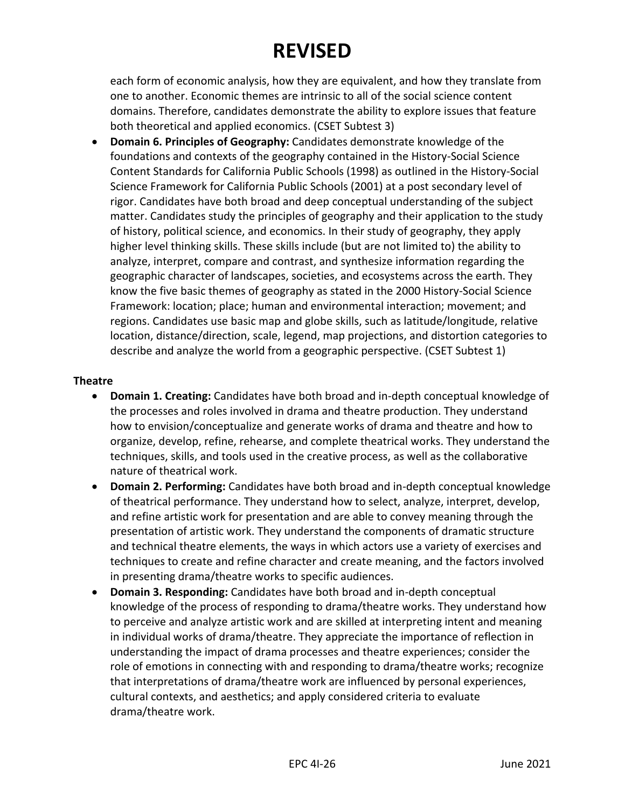each form of economic analysis, how they are equivalent, and how they translate from one to another. Economic themes are intrinsic to all of the social science content domains. Therefore, candidates demonstrate the ability to explore issues that feature both theoretical and applied economics. (CSET Subtest 3)

• **Domain 6. Principles of Geography:** Candidates demonstrate knowledge of the foundations and contexts of the geography contained in the History-Social Science Content Standards for California Public Schools (1998) as outlined in the History-Social Science Framework for California Public Schools (2001) at a post secondary level of rigor. Candidates have both broad and deep conceptual understanding of the subject matter. Candidates study the principles of geography and their application to the study of history, political science, and economics. In their study of geography, they apply higher level thinking skills. These skills include (but are not limited to) the ability to analyze, interpret, compare and contrast, and synthesize information regarding the geographic character of landscapes, societies, and ecosystems across the earth. They know the five basic themes of geography as stated in the 2000 History-Social Science Framework: location; place; human and environmental interaction; movement; and regions. Candidates use basic map and globe skills, such as latitude/longitude, relative location, distance/direction, scale, legend, map projections, and distortion categories to describe and analyze the world from a geographic perspective. (CSET Subtest 1)

#### **Theatre**

- **Domain 1. Creating:** Candidates have both broad and in-depth conceptual knowledge of the processes and roles involved in drama and theatre production. They understand how to envision/conceptualize and generate works of drama and theatre and how to organize, develop, refine, rehearse, and complete theatrical works. They understand the techniques, skills, and tools used in the creative process, as well as the collaborative nature of theatrical work.
- **Domain 2. Performing:** Candidates have both broad and in-depth conceptual knowledge of theatrical performance. They understand how to select, analyze, interpret, develop, and refine artistic work for presentation and are able to convey meaning through the presentation of artistic work. They understand the components of dramatic structure and technical theatre elements, the ways in which actors use a variety of exercises and techniques to create and refine character and create meaning, and the factors involved in presenting drama/theatre works to specific audiences.
- **Domain 3. Responding:** Candidates have both broad and in-depth conceptual knowledge of the process of responding to drama/theatre works. They understand how to perceive and analyze artistic work and are skilled at interpreting intent and meaning in individual works of drama/theatre. They appreciate the importance of reflection in understanding the impact of drama processes and theatre experiences; consider the role of emotions in connecting with and responding to drama/theatre works; recognize that interpretations of drama/theatre work are influenced by personal experiences, cultural contexts, and aesthetics; and apply considered criteria to evaluate drama/theatre work.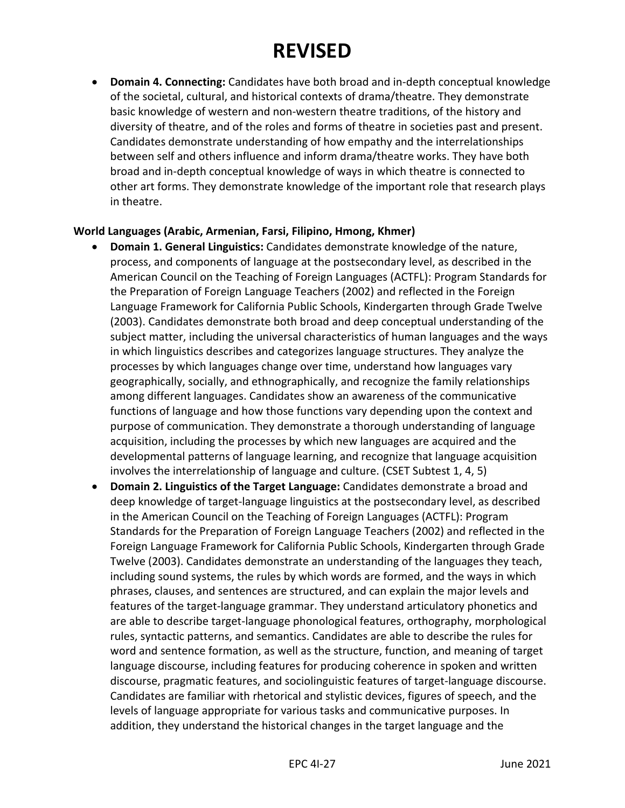• **Domain 4. Connecting:** Candidates have both broad and in-depth conceptual knowledge of the societal, cultural, and historical contexts of drama/theatre. They demonstrate basic knowledge of western and non-western theatre traditions, of the history and diversity of theatre, and of the roles and forms of theatre in societies past and present. Candidates demonstrate understanding of how empathy and the interrelationships between self and others influence and inform drama/theatre works. They have both broad and in-depth conceptual knowledge of ways in which theatre is connected to other art forms. They demonstrate knowledge of the important role that research plays in theatre.

#### **World Languages (Arabic, Armenian, Farsi, Filipino, Hmong, Khmer)**

- **Domain 1. General Linguistics:** Candidates demonstrate knowledge of the nature, process, and components of language at the postsecondary level, as described in the American Council on the Teaching of Foreign Languages (ACTFL): Program Standards for the Preparation of Foreign Language Teachers (2002) and reflected in the Foreign Language Framework for California Public Schools, Kindergarten through Grade Twelve (2003). Candidates demonstrate both broad and deep conceptual understanding of the subject matter, including the universal characteristics of human languages and the ways in which linguistics describes and categorizes language structures. They analyze the processes by which languages change over time, understand how languages vary geographically, socially, and ethnographically, and recognize the family relationships among different languages. Candidates show an awareness of the communicative functions of language and how those functions vary depending upon the context and purpose of communication. They demonstrate a thorough understanding of language acquisition, including the processes by which new languages are acquired and the developmental patterns of language learning, and recognize that language acquisition involves the interrelationship of language and culture. (CSET Subtest 1, 4, 5)
- **Domain 2. Linguistics of the Target Language:** Candidates demonstrate a broad and deep knowledge of target-language linguistics at the postsecondary level, as described in the American Council on the Teaching of Foreign Languages (ACTFL): Program Standards for the Preparation of Foreign Language Teachers (2002) and reflected in the Foreign Language Framework for California Public Schools, Kindergarten through Grade Twelve (2003). Candidates demonstrate an understanding of the languages they teach, including sound systems, the rules by which words are formed, and the ways in which phrases, clauses, and sentences are structured, and can explain the major levels and features of the target-language grammar. They understand articulatory phonetics and are able to describe target-language phonological features, orthography, morphological rules, syntactic patterns, and semantics. Candidates are able to describe the rules for word and sentence formation, as well as the structure, function, and meaning of target language discourse, including features for producing coherence in spoken and written discourse, pragmatic features, and sociolinguistic features of target-language discourse. Candidates are familiar with rhetorical and stylistic devices, figures of speech, and the levels of language appropriate for various tasks and communicative purposes. In addition, they understand the historical changes in the target language and the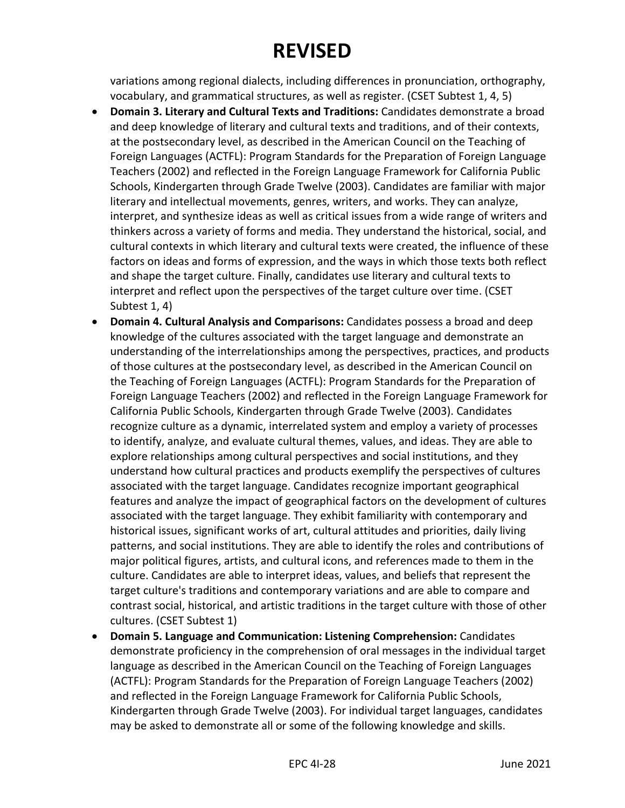variations among regional dialects, including differences in pronunciation, orthography, vocabulary, and grammatical structures, as well as register. (CSET Subtest 1, 4, 5)

- **Domain 3. Literary and Cultural Texts and Traditions:** Candidates demonstrate a broad and deep knowledge of literary and cultural texts and traditions, and of their contexts, at the postsecondary level, as described in the American Council on the Teaching of Foreign Languages (ACTFL): Program Standards for the Preparation of Foreign Language Teachers (2002) and reflected in the Foreign Language Framework for California Public Schools, Kindergarten through Grade Twelve (2003). Candidates are familiar with major literary and intellectual movements, genres, writers, and works. They can analyze, interpret, and synthesize ideas as well as critical issues from a wide range of writers and thinkers across a variety of forms and media. They understand the historical, social, and cultural contexts in which literary and cultural texts were created, the influence of these factors on ideas and forms of expression, and the ways in which those texts both reflect and shape the target culture. Finally, candidates use literary and cultural texts to interpret and reflect upon the perspectives of the target culture over time. (CSET Subtest 1, 4)
- **Domain 4. Cultural Analysis and Comparisons:** Candidates possess a broad and deep knowledge of the cultures associated with the target language and demonstrate an understanding of the interrelationships among the perspectives, practices, and products of those cultures at the postsecondary level, as described in the American Council on the Teaching of Foreign Languages (ACTFL): Program Standards for the Preparation of Foreign Language Teachers (2002) and reflected in the Foreign Language Framework for California Public Schools, Kindergarten through Grade Twelve (2003). Candidates recognize culture as a dynamic, interrelated system and employ a variety of processes to identify, analyze, and evaluate cultural themes, values, and ideas. They are able to explore relationships among cultural perspectives and social institutions, and they understand how cultural practices and products exemplify the perspectives of cultures associated with the target language. Candidates recognize important geographical features and analyze the impact of geographical factors on the development of cultures associated with the target language. They exhibit familiarity with contemporary and historical issues, significant works of art, cultural attitudes and priorities, daily living patterns, and social institutions. They are able to identify the roles and contributions of major political figures, artists, and cultural icons, and references made to them in the culture. Candidates are able to interpret ideas, values, and beliefs that represent the target culture's traditions and contemporary variations and are able to compare and contrast social, historical, and artistic traditions in the target culture with those of other cultures. (CSET Subtest 1)
- **Domain 5. Language and Communication: Listening Comprehension:** Candidates demonstrate proficiency in the comprehension of oral messages in the individual target language as described in the American Council on the Teaching of Foreign Languages (ACTFL): Program Standards for the Preparation of Foreign Language Teachers (2002) and reflected in the Foreign Language Framework for California Public Schools, Kindergarten through Grade Twelve (2003). For individual target languages, candidates may be asked to demonstrate all or some of the following knowledge and skills.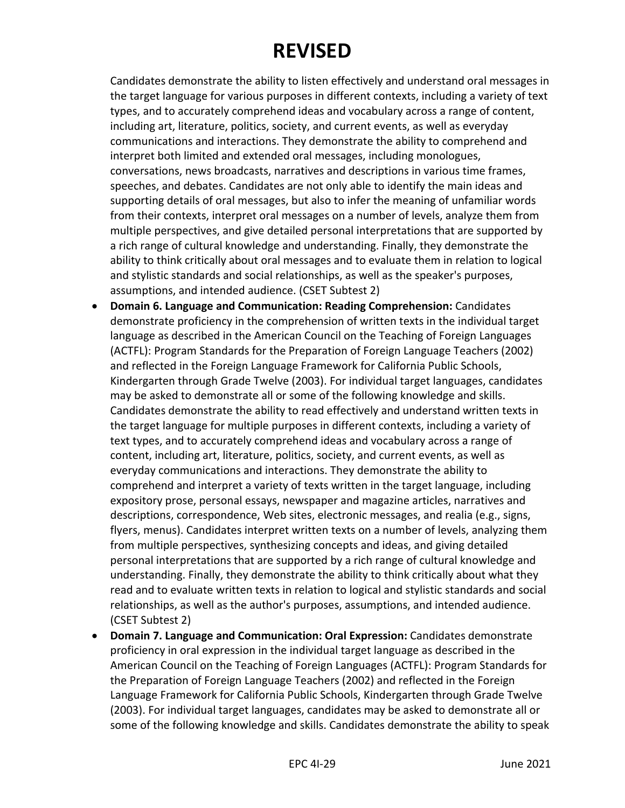Candidates demonstrate the ability to listen effectively and understand oral messages in the target language for various purposes in different contexts, including a variety of text types, and to accurately comprehend ideas and vocabulary across a range of content, including art, literature, politics, society, and current events, as well as everyday communications and interactions. They demonstrate the ability to comprehend and interpret both limited and extended oral messages, including monologues, conversations, news broadcasts, narratives and descriptions in various time frames, speeches, and debates. Candidates are not only able to identify the main ideas and supporting details of oral messages, but also to infer the meaning of unfamiliar words from their contexts, interpret oral messages on a number of levels, analyze them from multiple perspectives, and give detailed personal interpretations that are supported by a rich range of cultural knowledge and understanding. Finally, they demonstrate the ability to think critically about oral messages and to evaluate them in relation to logical and stylistic standards and social relationships, as well as the speaker's purposes, assumptions, and intended audience. (CSET Subtest 2)

- **Domain 6. Language and Communication: Reading Comprehension:** Candidates demonstrate proficiency in the comprehension of written texts in the individual target language as described in the American Council on the Teaching of Foreign Languages (ACTFL): Program Standards for the Preparation of Foreign Language Teachers (2002) and reflected in the Foreign Language Framework for California Public Schools, Kindergarten through Grade Twelve (2003). For individual target languages, candidates may be asked to demonstrate all or some of the following knowledge and skills. Candidates demonstrate the ability to read effectively and understand written texts in the target language for multiple purposes in different contexts, including a variety of text types, and to accurately comprehend ideas and vocabulary across a range of content, including art, literature, politics, society, and current events, as well as everyday communications and interactions. They demonstrate the ability to comprehend and interpret a variety of texts written in the target language, including expository prose, personal essays, newspaper and magazine articles, narratives and descriptions, correspondence, Web sites, electronic messages, and realia (e.g., signs, flyers, menus). Candidates interpret written texts on a number of levels, analyzing them from multiple perspectives, synthesizing concepts and ideas, and giving detailed personal interpretations that are supported by a rich range of cultural knowledge and understanding. Finally, they demonstrate the ability to think critically about what they read and to evaluate written texts in relation to logical and stylistic standards and social relationships, as well as the author's purposes, assumptions, and intended audience. (CSET Subtest 2)
- **Domain 7. Language and Communication: Oral Expression:** Candidates demonstrate proficiency in oral expression in the individual target language as described in the American Council on the Teaching of Foreign Languages (ACTFL): Program Standards for the Preparation of Foreign Language Teachers (2002) and reflected in the Foreign Language Framework for California Public Schools, Kindergarten through Grade Twelve (2003). For individual target languages, candidates may be asked to demonstrate all or some of the following knowledge and skills. Candidates demonstrate the ability to speak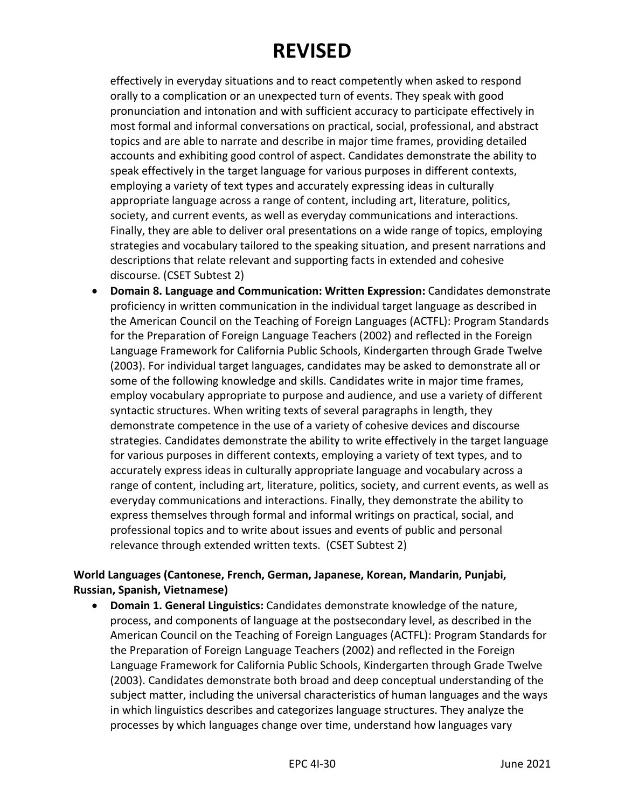effectively in everyday situations and to react competently when asked to respond orally to a complication or an unexpected turn of events. They speak with good pronunciation and intonation and with sufficient accuracy to participate effectively in most formal and informal conversations on practical, social, professional, and abstract topics and are able to narrate and describe in major time frames, providing detailed accounts and exhibiting good control of aspect. Candidates demonstrate the ability to speak effectively in the target language for various purposes in different contexts, employing a variety of text types and accurately expressing ideas in culturally appropriate language across a range of content, including art, literature, politics, society, and current events, as well as everyday communications and interactions. Finally, they are able to deliver oral presentations on a wide range of topics, employing strategies and vocabulary tailored to the speaking situation, and present narrations and descriptions that relate relevant and supporting facts in extended and cohesive discourse. (CSET Subtest 2)

• **Domain 8. Language and Communication: Written Expression:** Candidates demonstrate proficiency in written communication in the individual target language as described in the American Council on the Teaching of Foreign Languages (ACTFL): Program Standards for the Preparation of Foreign Language Teachers (2002) and reflected in the Foreign Language Framework for California Public Schools, Kindergarten through Grade Twelve (2003). For individual target languages, candidates may be asked to demonstrate all or some of the following knowledge and skills. Candidates write in major time frames, employ vocabulary appropriate to purpose and audience, and use a variety of different syntactic structures. When writing texts of several paragraphs in length, they demonstrate competence in the use of a variety of cohesive devices and discourse strategies. Candidates demonstrate the ability to write effectively in the target language for various purposes in different contexts, employing a variety of text types, and to accurately express ideas in culturally appropriate language and vocabulary across a range of content, including art, literature, politics, society, and current events, as well as everyday communications and interactions. Finally, they demonstrate the ability to express themselves through formal and informal writings on practical, social, and professional topics and to write about issues and events of public and personal relevance through extended written texts. (CSET Subtest 2)

### **World Languages (Cantonese, French, German, Japanese, Korean, Mandarin, Punjabi, Russian, Spanish, Vietnamese)**

• **Domain 1. General Linguistics:** Candidates demonstrate knowledge of the nature, process, and components of language at the postsecondary level, as described in the American Council on the Teaching of Foreign Languages (ACTFL): Program Standards for the Preparation of Foreign Language Teachers (2002) and reflected in the Foreign Language Framework for California Public Schools, Kindergarten through Grade Twelve (2003). Candidates demonstrate both broad and deep conceptual understanding of the subject matter, including the universal characteristics of human languages and the ways in which linguistics describes and categorizes language structures. They analyze the processes by which languages change over time, understand how languages vary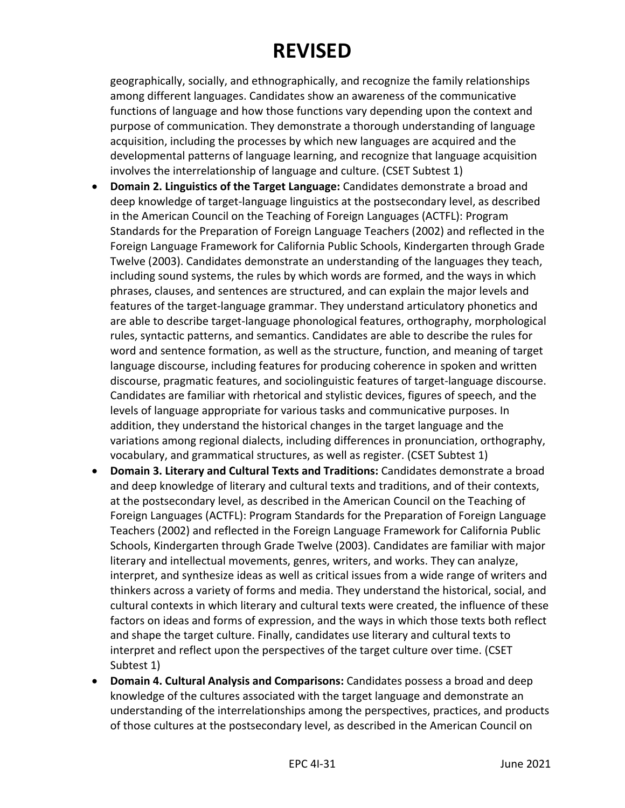geographically, socially, and ethnographically, and recognize the family relationships among different languages. Candidates show an awareness of the communicative functions of language and how those functions vary depending upon the context and purpose of communication. They demonstrate a thorough understanding of language acquisition, including the processes by which new languages are acquired and the developmental patterns of language learning, and recognize that language acquisition involves the interrelationship of language and culture. (CSET Subtest 1)

- **Domain 2. Linguistics of the Target Language:** Candidates demonstrate a broad and deep knowledge of target-language linguistics at the postsecondary level, as described in the American Council on the Teaching of Foreign Languages (ACTFL): Program Standards for the Preparation of Foreign Language Teachers (2002) and reflected in the Foreign Language Framework for California Public Schools, Kindergarten through Grade Twelve (2003). Candidates demonstrate an understanding of the languages they teach, including sound systems, the rules by which words are formed, and the ways in which phrases, clauses, and sentences are structured, and can explain the major levels and features of the target-language grammar. They understand articulatory phonetics and are able to describe target-language phonological features, orthography, morphological rules, syntactic patterns, and semantics. Candidates are able to describe the rules for word and sentence formation, as well as the structure, function, and meaning of target language discourse, including features for producing coherence in spoken and written discourse, pragmatic features, and sociolinguistic features of target-language discourse. Candidates are familiar with rhetorical and stylistic devices, figures of speech, and the levels of language appropriate for various tasks and communicative purposes. In addition, they understand the historical changes in the target language and the variations among regional dialects, including differences in pronunciation, orthography, vocabulary, and grammatical structures, as well as register. (CSET Subtest 1)
- **Domain 3. Literary and Cultural Texts and Traditions:** Candidates demonstrate a broad and deep knowledge of literary and cultural texts and traditions, and of their contexts, at the postsecondary level, as described in the American Council on the Teaching of Foreign Languages (ACTFL): Program Standards for the Preparation of Foreign Language Teachers (2002) and reflected in the Foreign Language Framework for California Public Schools, Kindergarten through Grade Twelve (2003). Candidates are familiar with major literary and intellectual movements, genres, writers, and works. They can analyze, interpret, and synthesize ideas as well as critical issues from a wide range of writers and thinkers across a variety of forms and media. They understand the historical, social, and cultural contexts in which literary and cultural texts were created, the influence of these factors on ideas and forms of expression, and the ways in which those texts both reflect and shape the target culture. Finally, candidates use literary and cultural texts to interpret and reflect upon the perspectives of the target culture over time. (CSET Subtest 1)
- **Domain 4. Cultural Analysis and Comparisons:** Candidates possess a broad and deep knowledge of the cultures associated with the target language and demonstrate an understanding of the interrelationships among the perspectives, practices, and products of those cultures at the postsecondary level, as described in the American Council on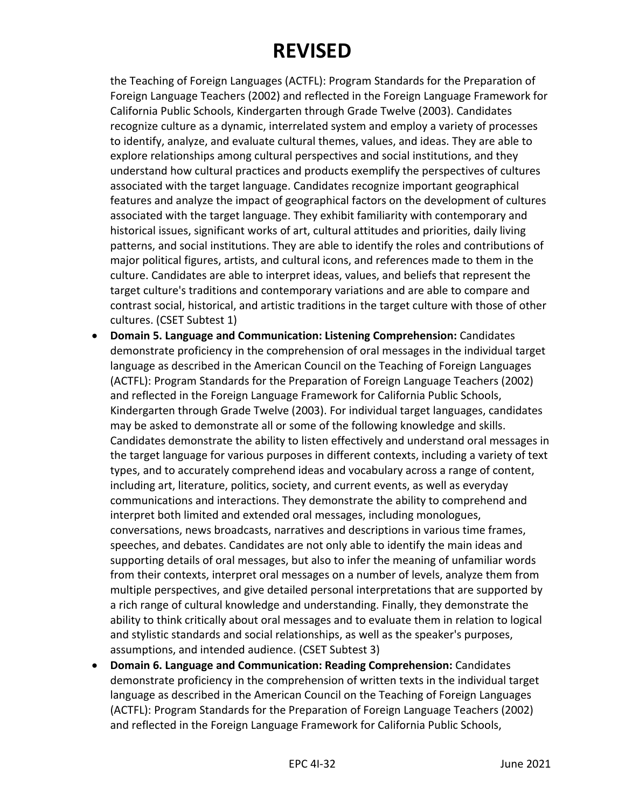the Teaching of Foreign Languages (ACTFL): Program Standards for the Preparation of Foreign Language Teachers (2002) and reflected in the Foreign Language Framework for California Public Schools, Kindergarten through Grade Twelve (2003). Candidates recognize culture as a dynamic, interrelated system and employ a variety of processes to identify, analyze, and evaluate cultural themes, values, and ideas. They are able to explore relationships among cultural perspectives and social institutions, and they understand how cultural practices and products exemplify the perspectives of cultures associated with the target language. Candidates recognize important geographical features and analyze the impact of geographical factors on the development of cultures associated with the target language. They exhibit familiarity with contemporary and historical issues, significant works of art, cultural attitudes and priorities, daily living patterns, and social institutions. They are able to identify the roles and contributions of major political figures, artists, and cultural icons, and references made to them in the culture. Candidates are able to interpret ideas, values, and beliefs that represent the target culture's traditions and contemporary variations and are able to compare and contrast social, historical, and artistic traditions in the target culture with those of other cultures. (CSET Subtest 1)

- **Domain 5. Language and Communication: Listening Comprehension:** Candidates demonstrate proficiency in the comprehension of oral messages in the individual target language as described in the American Council on the Teaching of Foreign Languages (ACTFL): Program Standards for the Preparation of Foreign Language Teachers (2002) and reflected in the Foreign Language Framework for California Public Schools, Kindergarten through Grade Twelve (2003). For individual target languages, candidates may be asked to demonstrate all or some of the following knowledge and skills. Candidates demonstrate the ability to listen effectively and understand oral messages in the target language for various purposes in different contexts, including a variety of text types, and to accurately comprehend ideas and vocabulary across a range of content, including art, literature, politics, society, and current events, as well as everyday communications and interactions. They demonstrate the ability to comprehend and interpret both limited and extended oral messages, including monologues, conversations, news broadcasts, narratives and descriptions in various time frames, speeches, and debates. Candidates are not only able to identify the main ideas and supporting details of oral messages, but also to infer the meaning of unfamiliar words from their contexts, interpret oral messages on a number of levels, analyze them from multiple perspectives, and give detailed personal interpretations that are supported by a rich range of cultural knowledge and understanding. Finally, they demonstrate the ability to think critically about oral messages and to evaluate them in relation to logical and stylistic standards and social relationships, as well as the speaker's purposes, assumptions, and intended audience. (CSET Subtest 3)
- **Domain 6. Language and Communication: Reading Comprehension:** Candidates demonstrate proficiency in the comprehension of written texts in the individual target language as described in the American Council on the Teaching of Foreign Languages (ACTFL): Program Standards for the Preparation of Foreign Language Teachers (2002) and reflected in the Foreign Language Framework for California Public Schools,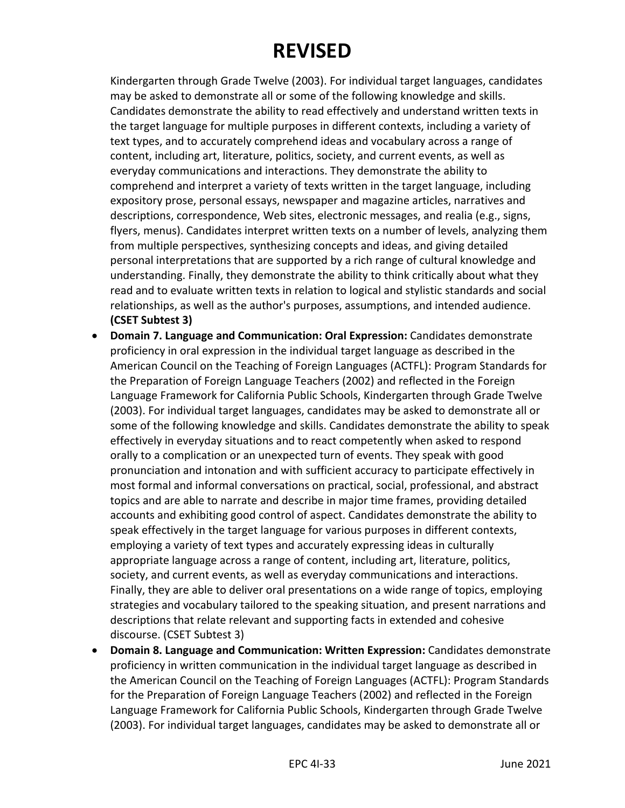Kindergarten through Grade Twelve (2003). For individual target languages, candidates may be asked to demonstrate all or some of the following knowledge and skills. Candidates demonstrate the ability to read effectively and understand written texts in the target language for multiple purposes in different contexts, including a variety of text types, and to accurately comprehend ideas and vocabulary across a range of content, including art, literature, politics, society, and current events, as well as everyday communications and interactions. They demonstrate the ability to comprehend and interpret a variety of texts written in the target language, including expository prose, personal essays, newspaper and magazine articles, narratives and descriptions, correspondence, Web sites, electronic messages, and realia (e.g., signs, flyers, menus). Candidates interpret written texts on a number of levels, analyzing them from multiple perspectives, synthesizing concepts and ideas, and giving detailed personal interpretations that are supported by a rich range of cultural knowledge and understanding. Finally, they demonstrate the ability to think critically about what they read and to evaluate written texts in relation to logical and stylistic standards and social relationships, as well as the author's purposes, assumptions, and intended audience. **(CSET Subtest 3)**

- **Domain 7. Language and Communication: Oral Expression:** Candidates demonstrate proficiency in oral expression in the individual target language as described in the American Council on the Teaching of Foreign Languages (ACTFL): Program Standards for the Preparation of Foreign Language Teachers (2002) and reflected in the Foreign Language Framework for California Public Schools, Kindergarten through Grade Twelve (2003). For individual target languages, candidates may be asked to demonstrate all or some of the following knowledge and skills. Candidates demonstrate the ability to speak effectively in everyday situations and to react competently when asked to respond orally to a complication or an unexpected turn of events. They speak with good pronunciation and intonation and with sufficient accuracy to participate effectively in most formal and informal conversations on practical, social, professional, and abstract topics and are able to narrate and describe in major time frames, providing detailed accounts and exhibiting good control of aspect. Candidates demonstrate the ability to speak effectively in the target language for various purposes in different contexts, employing a variety of text types and accurately expressing ideas in culturally appropriate language across a range of content, including art, literature, politics, society, and current events, as well as everyday communications and interactions. Finally, they are able to deliver oral presentations on a wide range of topics, employing strategies and vocabulary tailored to the speaking situation, and present narrations and descriptions that relate relevant and supporting facts in extended and cohesive discourse. (CSET Subtest 3)
- **Domain 8. Language and Communication: Written Expression:** Candidates demonstrate proficiency in written communication in the individual target language as described in the American Council on the Teaching of Foreign Languages (ACTFL): Program Standards for the Preparation of Foreign Language Teachers (2002) and reflected in the Foreign Language Framework for California Public Schools, Kindergarten through Grade Twelve (2003). For individual target languages, candidates may be asked to demonstrate all or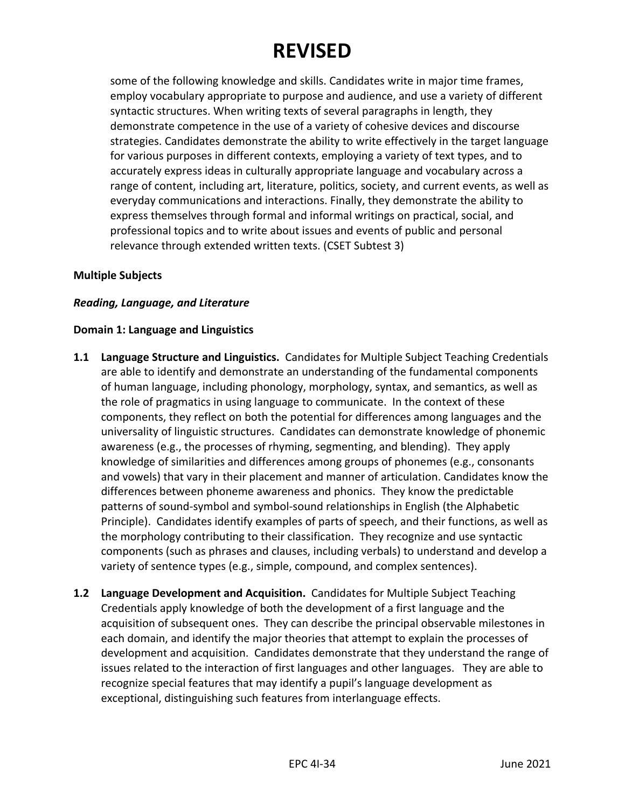some of the following knowledge and skills. Candidates write in major time frames, employ vocabulary appropriate to purpose and audience, and use a variety of different syntactic structures. When writing texts of several paragraphs in length, they demonstrate competence in the use of a variety of cohesive devices and discourse strategies. Candidates demonstrate the ability to write effectively in the target language for various purposes in different contexts, employing a variety of text types, and to accurately express ideas in culturally appropriate language and vocabulary across a range of content, including art, literature, politics, society, and current events, as well as everyday communications and interactions. Finally, they demonstrate the ability to express themselves through formal and informal writings on practical, social, and professional topics and to write about issues and events of public and personal relevance through extended written texts. (CSET Subtest 3)

#### **Multiple Subjects**

#### <span id="page-34-0"></span>*Reading, Language, and Literature*

#### **Domain 1: Language and Linguistics**

- **1.1 Language Structure and Linguistics.** Candidates for Multiple Subject Teaching Credentials are able to identify and demonstrate an understanding of the fundamental components of human language, including phonology, morphology, syntax, and semantics, as well as the role of pragmatics in using language to communicate. In the context of these components, they reflect on both the potential for differences among languages and the universality of linguistic structures. Candidates can demonstrate knowledge of phonemic awareness (e.g., the processes of rhyming, segmenting, and blending). They apply knowledge of similarities and differences among groups of phonemes (e.g., consonants and vowels) that vary in their placement and manner of articulation. Candidates know the differences between phoneme awareness and phonics. They know the predictable patterns of sound-symbol and symbol-sound relationships in English (the Alphabetic Principle). Candidates identify examples of parts of speech, and their functions, as well as the morphology contributing to their classification. They recognize and use syntactic components (such as phrases and clauses, including verbals) to understand and develop a variety of sentence types (e.g., simple, compound, and complex sentences).
- **1.2 Language Development and Acquisition.** Candidates for Multiple Subject Teaching Credentials apply knowledge of both the development of a first language and the acquisition of subsequent ones. They can describe the principal observable milestones in each domain, and identify the major theories that attempt to explain the processes of development and acquisition. Candidates demonstrate that they understand the range of issues related to the interaction of first languages and other languages. They are able to recognize special features that may identify a pupil's language development as exceptional, distinguishing such features from interlanguage effects.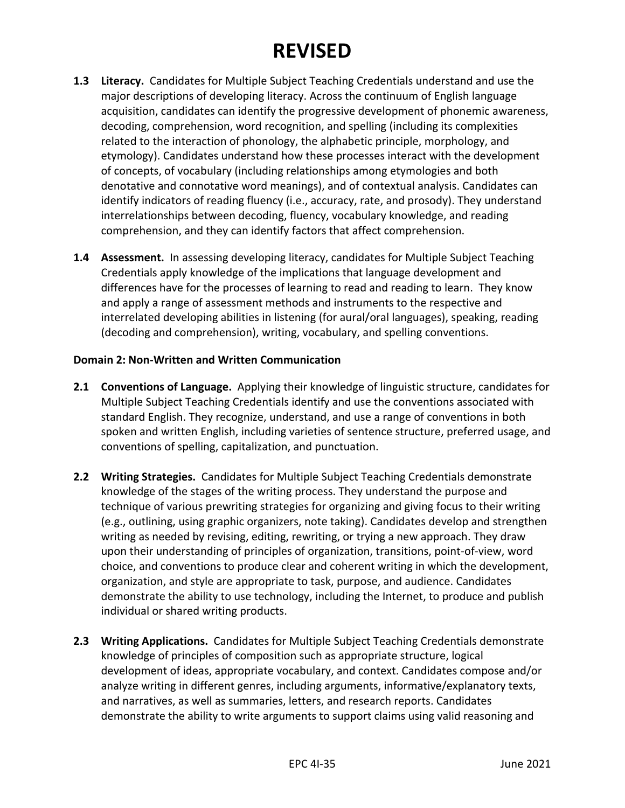- **1.3 Literacy.** Candidates for Multiple Subject Teaching Credentials understand and use the major descriptions of developing literacy. Across the continuum of English language acquisition, candidates can identify the progressive development of phonemic awareness, decoding, comprehension, word recognition, and spelling (including its complexities related to the interaction of phonology, the alphabetic principle, morphology, and etymology). Candidates understand how these processes interact with the development of concepts, of vocabulary (including relationships among etymologies and both denotative and connotative word meanings), and of contextual analysis. Candidates can identify indicators of reading fluency (i.e., accuracy, rate, and prosody). They understand interrelationships between decoding, fluency, vocabulary knowledge, and reading comprehension, and they can identify factors that affect comprehension.
- **1.4 Assessment.** In assessing developing literacy, candidates for Multiple Subject Teaching Credentials apply knowledge of the implications that language development and differences have for the processes of learning to read and reading to learn. They know and apply a range of assessment methods and instruments to the respective and interrelated developing abilities in listening (for aural/oral languages), speaking, reading (decoding and comprehension), writing, vocabulary, and spelling conventions.

#### **Domain 2: Non-Written and Written Communication**

- **2.1 Conventions of Language.** Applying their knowledge of linguistic structure, candidates for Multiple Subject Teaching Credentials identify and use the conventions associated with standard English. They recognize, understand, and use a range of conventions in both spoken and written English, including varieties of sentence structure, preferred usage, and conventions of spelling, capitalization, and punctuation.
- **2.2 Writing Strategies.** Candidates for Multiple Subject Teaching Credentials demonstrate knowledge of the stages of the writing process. They understand the purpose and technique of various prewriting strategies for organizing and giving focus to their writing (e.g., outlining, using graphic organizers, note taking). Candidates develop and strengthen writing as needed by revising, editing, rewriting, or trying a new approach. They draw upon their understanding of principles of organization, transitions, point-of-view, word choice, and conventions to produce clear and coherent writing in which the development, organization, and style are appropriate to task, purpose, and audience. Candidates demonstrate the ability to use technology, including the Internet, to produce and publish individual or shared writing products.
- **2.3 Writing Applications.** Candidates for Multiple Subject Teaching Credentials demonstrate knowledge of principles of composition such as appropriate structure, logical development of ideas, appropriate vocabulary, and context. Candidates compose and/or analyze writing in different genres, including arguments, informative/explanatory texts, and narratives, as well as summaries, letters, and research reports. Candidates demonstrate the ability to write arguments to support claims using valid reasoning and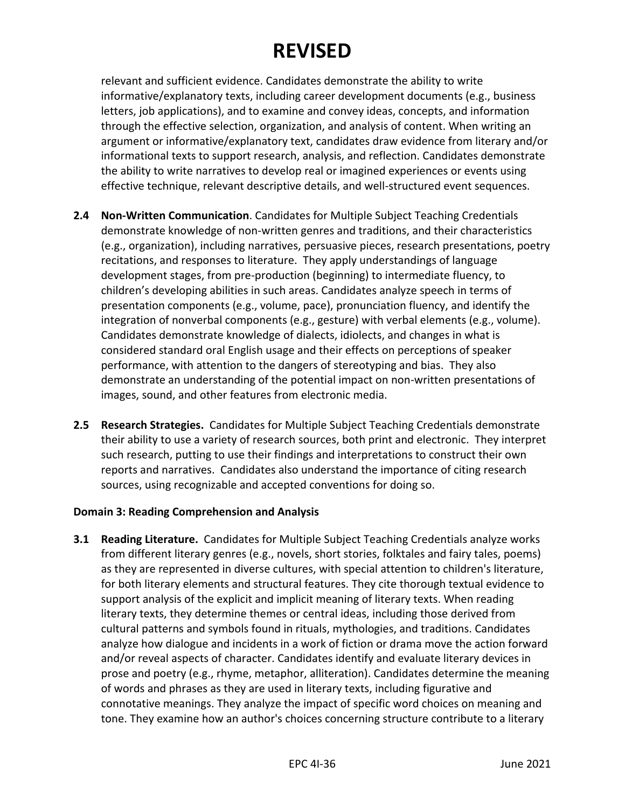relevant and sufficient evidence. Candidates demonstrate the ability to write informative/explanatory texts, including career development documents (e.g., business letters, job applications), and to examine and convey ideas, concepts, and information through the effective selection, organization, and analysis of content. When writing an argument or informative/explanatory text, candidates draw evidence from literary and/or informational texts to support research, analysis, and reflection. Candidates demonstrate the ability to write narratives to develop real or imagined experiences or events using effective technique, relevant descriptive details, and well-structured event sequences.

- **2.4 Non-Written Communication**. Candidates for Multiple Subject Teaching Credentials demonstrate knowledge of non-written genres and traditions, and their characteristics (e.g., organization), including narratives, persuasive pieces, research presentations, poetry recitations, and responses to literature. They apply understandings of language development stages, from pre-production (beginning) to intermediate fluency, to children's developing abilities in such areas. Candidates analyze speech in terms of presentation components (e.g., volume, pace), pronunciation fluency, and identify the integration of nonverbal components (e.g., gesture) with verbal elements (e.g., volume). Candidates demonstrate knowledge of dialects, idiolects, and changes in what is considered standard oral English usage and their effects on perceptions of speaker performance, with attention to the dangers of stereotyping and bias. They also demonstrate an understanding of the potential impact on non-written presentations of images, sound, and other features from electronic media.
- **2.5 Research Strategies.** Candidates for Multiple Subject Teaching Credentials demonstrate their ability to use a variety of research sources, both print and electronic. They interpret such research, putting to use their findings and interpretations to construct their own reports and narratives. Candidates also understand the importance of citing research sources, using recognizable and accepted conventions for doing so.

#### **Domain 3: Reading Comprehension and Analysis**

**3.1 Reading Literature.** Candidates for Multiple Subject Teaching Credentials analyze works from different literary genres (e.g., novels, short stories, folktales and fairy tales, poems) as they are represented in diverse cultures, with special attention to children's literature, for both literary elements and structural features. They cite thorough textual evidence to support analysis of the explicit and implicit meaning of literary texts. When reading literary texts, they determine themes or central ideas, including those derived from cultural patterns and symbols found in rituals, mythologies, and traditions. Candidates analyze how dialogue and incidents in a work of fiction or drama move the action forward and/or reveal aspects of character. Candidates identify and evaluate literary devices in prose and poetry (e.g., rhyme, metaphor, alliteration). Candidates determine the meaning of words and phrases as they are used in literary texts, including figurative and connotative meanings. They analyze the impact of specific word choices on meaning and tone. They examine how an author's choices concerning structure contribute to a literary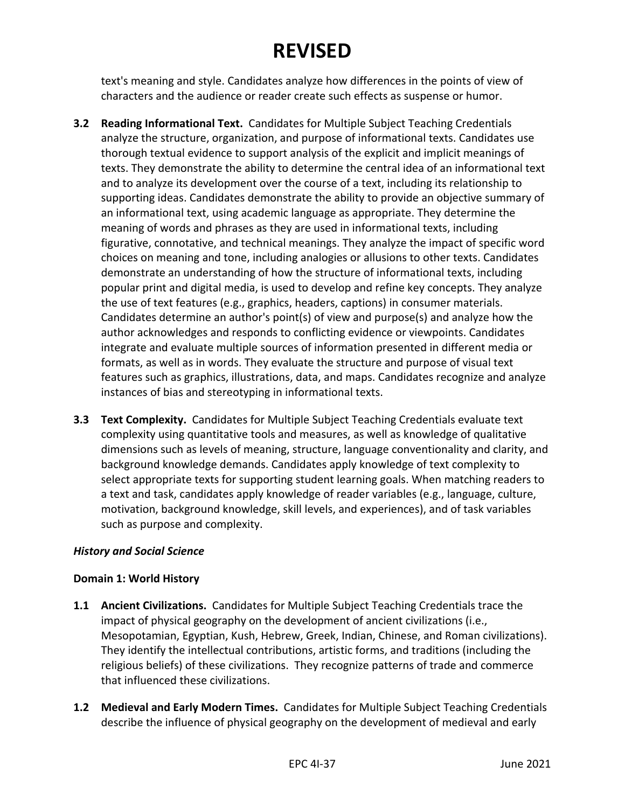text's meaning and style. Candidates analyze how differences in the points of view of characters and the audience or reader create such effects as suspense or humor.

- **3.2 Reading Informational Text.** Candidates for Multiple Subject Teaching Credentials analyze the structure, organization, and purpose of informational texts. Candidates use thorough textual evidence to support analysis of the explicit and implicit meanings of texts. They demonstrate the ability to determine the central idea of an informational text and to analyze its development over the course of a text, including its relationship to supporting ideas. Candidates demonstrate the ability to provide an objective summary of an informational text, using academic language as appropriate. They determine the meaning of words and phrases as they are used in informational texts, including figurative, connotative, and technical meanings. They analyze the impact of specific word choices on meaning and tone, including analogies or allusions to other texts. Candidates demonstrate an understanding of how the structure of informational texts, including popular print and digital media, is used to develop and refine key concepts. They analyze the use of text features (e.g., graphics, headers, captions) in consumer materials. Candidates determine an author's point(s) of view and purpose(s) and analyze how the author acknowledges and responds to conflicting evidence or viewpoints. Candidates integrate and evaluate multiple sources of information presented in different media or formats, as well as in words. They evaluate the structure and purpose of visual text features such as graphics, illustrations, data, and maps. Candidates recognize and analyze instances of bias and stereotyping in informational texts.
- **3.3 Text Complexity.** Candidates for Multiple Subject Teaching Credentials evaluate text complexity using quantitative tools and measures, as well as knowledge of qualitative dimensions such as levels of meaning, structure, language conventionality and clarity, and background knowledge demands. Candidates apply knowledge of text complexity to select appropriate texts for supporting student learning goals. When matching readers to a text and task, candidates apply knowledge of reader variables (e.g., language, culture, motivation, background knowledge, skill levels, and experiences), and of task variables such as purpose and complexity.

### *History and Social Science*

### **Domain 1: World History**

- **1.1 Ancient Civilizations.** Candidates for Multiple Subject Teaching Credentials trace the impact of physical geography on the development of ancient civilizations (i.e., Mesopotamian, Egyptian, Kush, Hebrew, Greek, Indian, Chinese, and Roman civilizations). They identify the intellectual contributions, artistic forms, and traditions (including the religious beliefs) of these civilizations. They recognize patterns of trade and commerce that influenced these civilizations.
- **1.2 Medieval and Early Modern Times.** Candidates for Multiple Subject Teaching Credentials describe the influence of physical geography on the development of medieval and early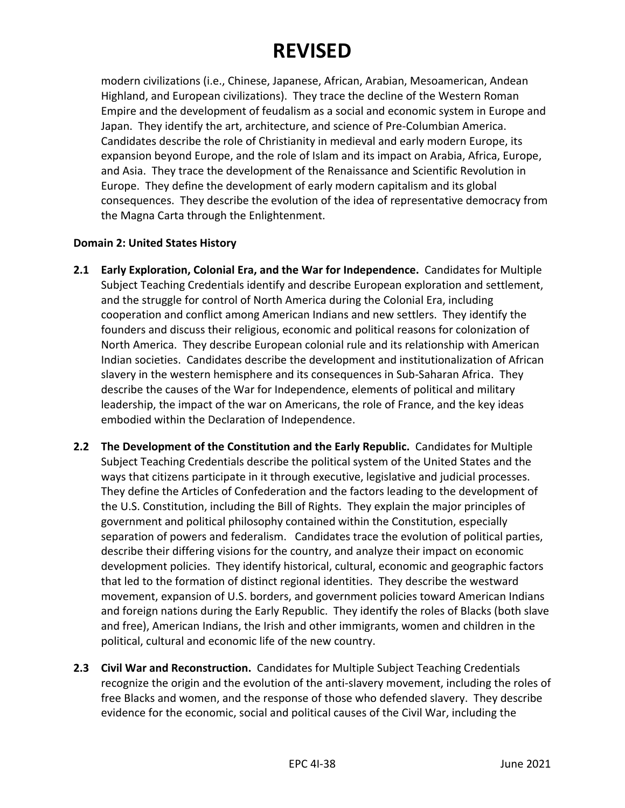modern civilizations (i.e., Chinese, Japanese, African, Arabian, Mesoamerican, Andean Highland, and European civilizations). They trace the decline of the Western Roman Empire and the development of feudalism as a social and economic system in Europe and Japan. They identify the art, architecture, and science of Pre-Columbian America. Candidates describe the role of Christianity in medieval and early modern Europe, its expansion beyond Europe, and the role of Islam and its impact on Arabia, Africa, Europe, and Asia. They trace the development of the Renaissance and Scientific Revolution in Europe. They define the development of early modern capitalism and its global consequences. They describe the evolution of the idea of representative democracy from the Magna Carta through the Enlightenment.

### **Domain 2: United States History**

- **2.1 Early Exploration, Colonial Era, and the War for Independence.** Candidates for Multiple Subject Teaching Credentials identify and describe European exploration and settlement, and the struggle for control of North America during the Colonial Era, including cooperation and conflict among American Indians and new settlers. They identify the founders and discuss their religious, economic and political reasons for colonization of North America. They describe European colonial rule and its relationship with American Indian societies. Candidates describe the development and institutionalization of African slavery in the western hemisphere and its consequences in Sub-Saharan Africa. They describe the causes of the War for Independence, elements of political and military leadership, the impact of the war on Americans, the role of France, and the key ideas embodied within the Declaration of Independence.
- **2.2 The Development of the Constitution and the Early Republic.** Candidates for Multiple Subject Teaching Credentials describe the political system of the United States and the ways that citizens participate in it through executive, legislative and judicial processes. They define the Articles of Confederation and the factors leading to the development of the U.S. Constitution, including the Bill of Rights. They explain the major principles of government and political philosophy contained within the Constitution, especially separation of powers and federalism. Candidates trace the evolution of political parties, describe their differing visions for the country, and analyze their impact on economic development policies. They identify historical, cultural, economic and geographic factors that led to the formation of distinct regional identities. They describe the westward movement, expansion of U.S. borders, and government policies toward American Indians and foreign nations during the Early Republic. They identify the roles of Blacks (both slave and free), American Indians, the Irish and other immigrants, women and children in the political, cultural and economic life of the new country.
- **2.3 Civil War and Reconstruction.** Candidates for Multiple Subject Teaching Credentials recognize the origin and the evolution of the anti-slavery movement, including the roles of free Blacks and women, and the response of those who defended slavery. They describe evidence for the economic, social and political causes of the Civil War, including the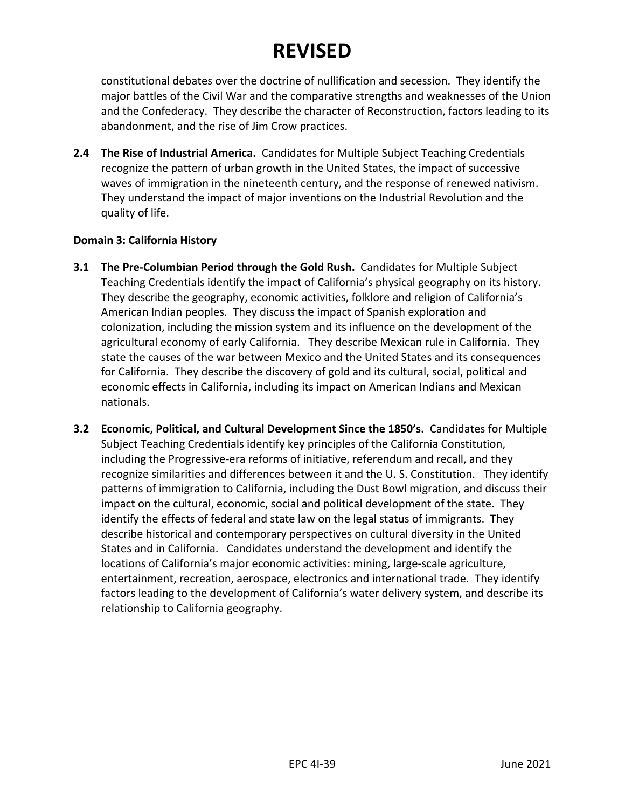constitutional debates over the doctrine of nullification and secession.They identify the major battles of the Civil War and the comparative strengths and weaknesses of the Union and the Confederacy. They describe the character of Reconstruction, factors leading to its abandonment, and the rise of Jim Crow practices.

**2.4 The Rise of Industrial America.** Candidates for Multiple Subject Teaching Credentials recognize the pattern of urban growth in the United States, the impact of successive waves of immigration in the nineteenth century, and the response of renewed nativism. They understand the impact of major inventions on the Industrial Revolution and the quality of life.

#### **Domain 3: California History**

- **3.1 The Pre-Columbian Period through the Gold Rush.** Candidates for Multiple Subject Teaching Credentials identify the impact of California's physical geography on its history. They describe the geography, economic activities, folklore and religion of California's American Indian peoples. They discuss the impact of Spanish exploration and colonization, including the mission system and its influence on the development of the agricultural economy of early California. They describe Mexican rule in California. They state the causes of the war between Mexico and the United States and its consequences for California. They describe the discovery of gold and its cultural, social, political and economic effects in California, including its impact on American Indians and Mexican nationals.
- **3.2 Economic, Political, and Cultural Development Since the 1850's.** Candidates for Multiple Subject Teaching Credentials identify key principles of the California Constitution, including the Progressive-era reforms of initiative, referendum and recall, and they recognize similarities and differences between it and the U. S. Constitution. They identify patterns of immigration to California, including the Dust Bowl migration, and discuss their impact on the cultural, economic, social and political development of the state. They identify the effects of federal and state law on the legal status of immigrants. They describe historical and contemporary perspectives on cultural diversity in the United States and in California. Candidates understand the development and identify the locations of California's major economic activities: mining, large-scale agriculture, entertainment, recreation, aerospace, electronics and international trade. They identify factors leading to the development of California's water delivery system, and describe its relationship to California geography.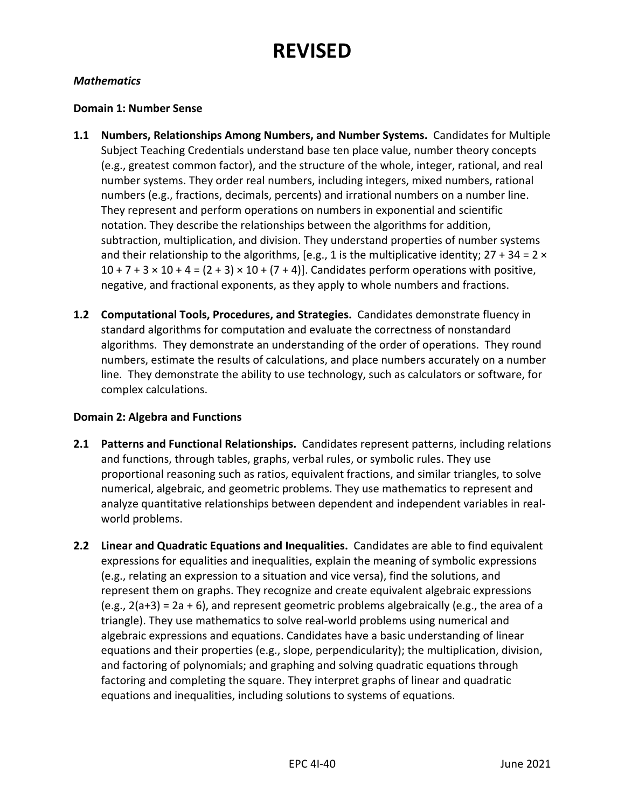#### *Mathematics*

#### **Domain 1: Number Sense**

- **1.1 Numbers, Relationships Among Numbers, and Number Systems.** Candidates for Multiple Subject Teaching Credentials understand base ten place value, number theory concepts (e.g., greatest common factor), and the structure of the whole, integer, rational, and real number systems. They order real numbers, including integers, mixed numbers, rational numbers (e.g., fractions, decimals, percents) and irrational numbers on a number line. They represent and perform operations on numbers in exponential and scientific notation. They describe the relationships between the algorithms for addition, subtraction, multiplication, and division. They understand properties of number systems and their relationship to the algorithms, [e.g., 1 is the multiplicative identity;  $27 + 34 = 2 \times$  $10 + 7 + 3 \times 10 + 4 = (2 + 3) \times 10 + (7 + 4)$ . Candidates perform operations with positive, negative, and fractional exponents, as they apply to whole numbers and fractions.
- **1.2 Computational Tools, Procedures, and Strategies.** Candidates demonstrate fluency in standard algorithms for computation and evaluate the correctness of nonstandard algorithms. They demonstrate an understanding of the order of operations. They round numbers, estimate the results of calculations, and place numbers accurately on a number line. They demonstrate the ability to use technology, such as calculators or software, for complex calculations.

#### **Domain 2: Algebra and Functions**

- **2.1 Patterns and Functional Relationships.** Candidates represent patterns, including relations and functions, through tables, graphs, verbal rules, or symbolic rules. They use proportional reasoning such as ratios, equivalent fractions, and similar triangles, to solve numerical, algebraic, and geometric problems. They use mathematics to represent and analyze quantitative relationships between dependent and independent variables in realworld problems.
- **2.2 Linear and Quadratic Equations and Inequalities.** Candidates are able to find equivalent expressions for equalities and inequalities, explain the meaning of symbolic expressions (e.g., relating an expression to a situation and vice versa), find the solutions, and represent them on graphs. They recognize and create equivalent algebraic expressions  $(e.g., 2(a+3) = 2a + 6)$ , and represent geometric problems algebraically (e.g., the area of a triangle). They use mathematics to solve real-world problems using numerical and algebraic expressions and equations. Candidates have a basic understanding of linear equations and their properties (e.g., slope, perpendicularity); the multiplication, division, and factoring of polynomials; and graphing and solving quadratic equations through factoring and completing the square. They interpret graphs of linear and quadratic equations and inequalities, including solutions to systems of equations.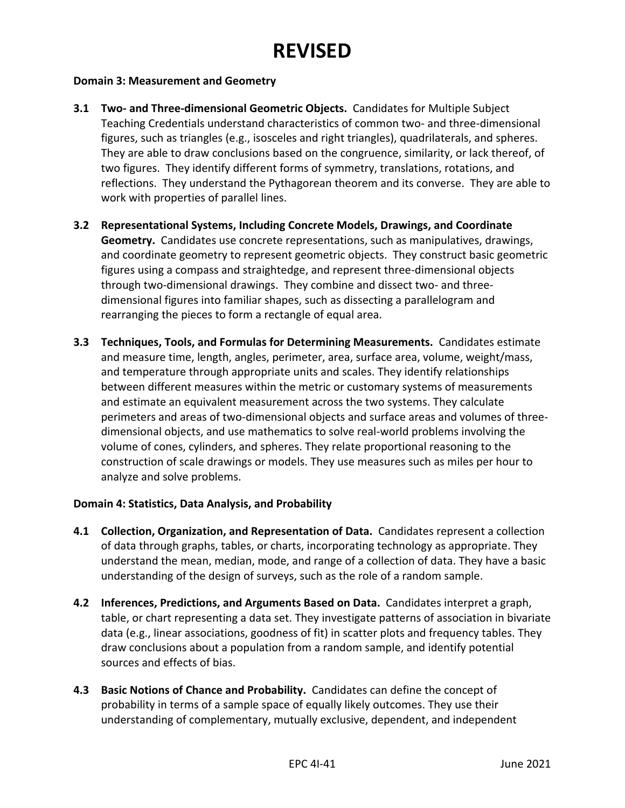#### **Domain 3: Measurement and Geometry**

- **3.1 Two- and Three-dimensional Geometric Objects.** Candidates for Multiple Subject Teaching Credentials understand characteristics of common two- and three-dimensional figures, such as triangles (e.g., isosceles and right triangles), quadrilaterals, and spheres. They are able to draw conclusions based on the congruence, similarity, or lack thereof, of two figures. They identify different forms of symmetry, translations, rotations, and reflections. They understand the Pythagorean theorem and its converse. They are able to work with properties of parallel lines.
- **3.2 Representational Systems, Including Concrete Models, Drawings, and Coordinate Geometry.** Candidates use concrete representations, such as manipulatives, drawings, and coordinate geometry to represent geometric objects. They construct basic geometric figures using a compass and straightedge, and represent three-dimensional objects through two-dimensional drawings. They combine and dissect two- and threedimensional figures into familiar shapes, such as dissecting a parallelogram and rearranging the pieces to form a rectangle of equal area.
- **3.3 Techniques, Tools, and Formulas for Determining Measurements.** Candidates estimate and measure time, length, angles, perimeter, area, surface area, volume, weight/mass, and temperature through appropriate units and scales. They identify relationships between different measures within the metric or customary systems of measurements and estimate an equivalent measurement across the two systems. They calculate perimeters and areas of two-dimensional objects and surface areas and volumes of threedimensional objects, and use mathematics to solve real-world problems involving the volume of cones, cylinders, and spheres. They relate proportional reasoning to the construction of scale drawings or models. They use measures such as miles per hour to analyze and solve problems.

### **Domain 4: Statistics, Data Analysis, and Probability**

- **4.1 Collection, Organization, and Representation of Data.** Candidates represent a collection of data through graphs, tables, or charts, incorporating technology as appropriate. They understand the mean, median, mode, and range of a collection of data. They have a basic understanding of the design of surveys, such as the role of a random sample.
- **4.2 Inferences, Predictions, and Arguments Based on Data.** Candidates interpret a graph, table, or chart representing a data set. They investigate patterns of association in bivariate data (e.g., linear associations, goodness of fit) in scatter plots and frequency tables. They draw conclusions about a population from a random sample, and identify potential sources and effects of bias.
- **4.3 Basic Notions of Chance and Probability.** Candidates can define the concept of probability in terms of a sample space of equally likely outcomes. They use their understanding of complementary, mutually exclusive, dependent, and independent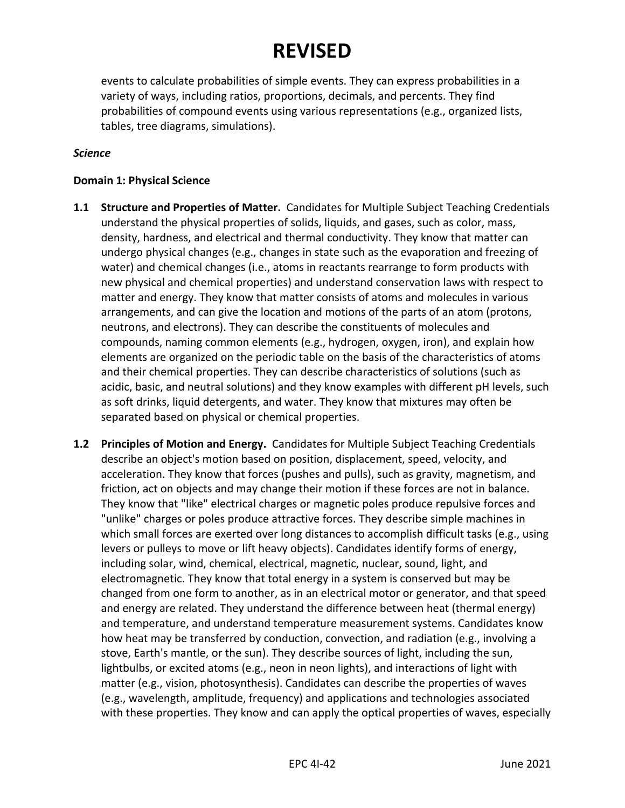events to calculate probabilities of simple events. They can express probabilities in a variety of ways, including ratios, proportions, decimals, and percents. They find probabilities of compound events using various representations (e.g., organized lists, tables, tree diagrams, simulations).

#### *Science*

#### **Domain 1: Physical Science**

- **1.1 Structure and Properties of Matter.** Candidates for Multiple Subject Teaching Credentials understand the physical properties of solids, liquids, and gases, such as color, mass, density, hardness, and electrical and thermal conductivity. They know that matter can undergo physical changes (e.g., changes in state such as the evaporation and freezing of water) and chemical changes (i.e., atoms in reactants rearrange to form products with new physical and chemical properties) and understand conservation laws with respect to matter and energy. They know that matter consists of atoms and molecules in various arrangements, and can give the location and motions of the parts of an atom (protons, neutrons, and electrons). They can describe the constituents of molecules and compounds, naming common elements (e.g., hydrogen, oxygen, iron), and explain how elements are organized on the periodic table on the basis of the characteristics of atoms and their chemical properties. They can describe characteristics of solutions (such as acidic, basic, and neutral solutions) and they know examples with different pH levels, such as soft drinks, liquid detergents, and water. They know that mixtures may often be separated based on physical or chemical properties.
- **1.2 Principles of Motion and Energy.** Candidates for Multiple Subject Teaching Credentials describe an object's motion based on position, displacement, speed, velocity, and acceleration. They know that forces (pushes and pulls), such as gravity, magnetism, and friction, act on objects and may change their motion if these forces are not in balance. They know that "like" electrical charges or magnetic poles produce repulsive forces and "unlike" charges or poles produce attractive forces. They describe simple machines in which small forces are exerted over long distances to accomplish difficult tasks (e.g., using levers or pulleys to move or lift heavy objects). Candidates identify forms of energy, including solar, wind, chemical, electrical, magnetic, nuclear, sound, light, and electromagnetic. They know that total energy in a system is conserved but may be changed from one form to another, as in an electrical motor or generator, and that speed and energy are related. They understand the difference between heat (thermal energy) and temperature, and understand temperature measurement systems. Candidates know how heat may be transferred by conduction, convection, and radiation (e.g., involving a stove, Earth's mantle, or the sun). They describe sources of light, including the sun, lightbulbs, or excited atoms (e.g., neon in neon lights), and interactions of light with matter (e.g., vision, photosynthesis). Candidates can describe the properties of waves (e.g., wavelength, amplitude, frequency) and applications and technologies associated with these properties. They know and can apply the optical properties of waves, especially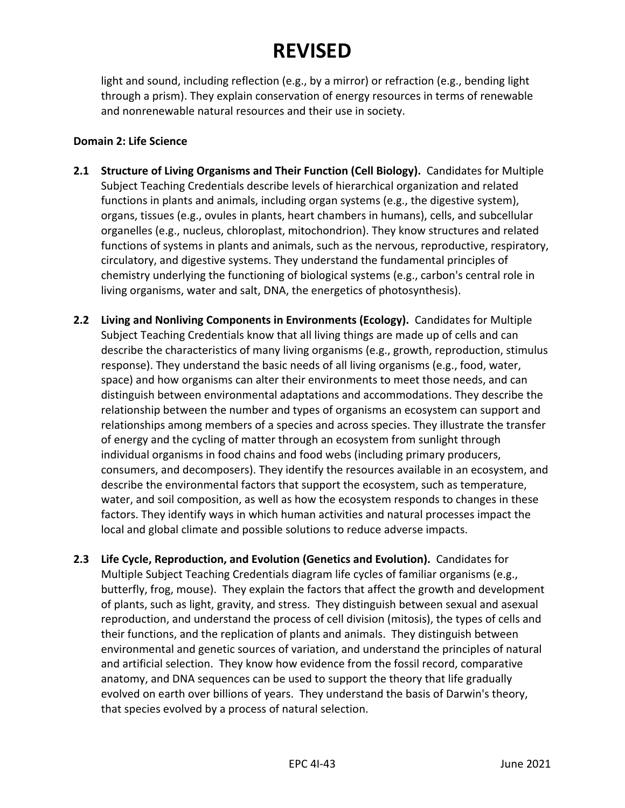light and sound, including reflection (e.g., by a mirror) or refraction (e.g., bending light through a prism). They explain conservation of energy resources in terms of renewable and nonrenewable natural resources and their use in society.

### **Domain 2: Life Science**

- **2.1 Structure of Living Organisms and Their Function (Cell Biology).** Candidates for Multiple Subject Teaching Credentials describe levels of hierarchical organization and related functions in plants and animals, including organ systems (e.g., the digestive system), organs, tissues (e.g., ovules in plants, heart chambers in humans), cells, and subcellular organelles (e.g., nucleus, chloroplast, mitochondrion). They know structures and related functions of systems in plants and animals, such as the nervous, reproductive, respiratory, circulatory, and digestive systems. They understand the fundamental principles of chemistry underlying the functioning of biological systems (e.g., carbon's central role in living organisms, water and salt, DNA, the energetics of photosynthesis).
- **2.2 Living and Nonliving Components in Environments (Ecology).** Candidates for Multiple Subject Teaching Credentials know that all living things are made up of cells and can describe the characteristics of many living organisms (e.g., growth, reproduction, stimulus response). They understand the basic needs of all living organisms (e.g., food, water, space) and how organisms can alter their environments to meet those needs, and can distinguish between environmental adaptations and accommodations. They describe the relationship between the number and types of organisms an ecosystem can support and relationships among members of a species and across species. They illustrate the transfer of energy and the cycling of matter through an ecosystem from sunlight through individual organisms in food chains and food webs (including primary producers, consumers, and decomposers). They identify the resources available in an ecosystem, and describe the environmental factors that support the ecosystem, such as temperature, water, and soil composition, as well as how the ecosystem responds to changes in these factors. They identify ways in which human activities and natural processes impact the local and global climate and possible solutions to reduce adverse impacts.
- **2.3 Life Cycle, Reproduction, and Evolution (Genetics and Evolution).** Candidates for Multiple Subject Teaching Credentials diagram life cycles of familiar organisms (e.g., butterfly, frog, mouse). They explain the factors that affect the growth and development of plants, such as light, gravity, and stress. They distinguish between sexual and asexual reproduction, and understand the process of cell division (mitosis), the types of cells and their functions, and the replication of plants and animals. They distinguish between environmental and genetic sources of variation, and understand the principles of natural and artificial selection. They know how evidence from the fossil record, comparative anatomy, and DNA sequences can be used to support the theory that life gradually evolved on earth over billions of years. They understand the basis of Darwin's theory, that species evolved by a process of natural selection.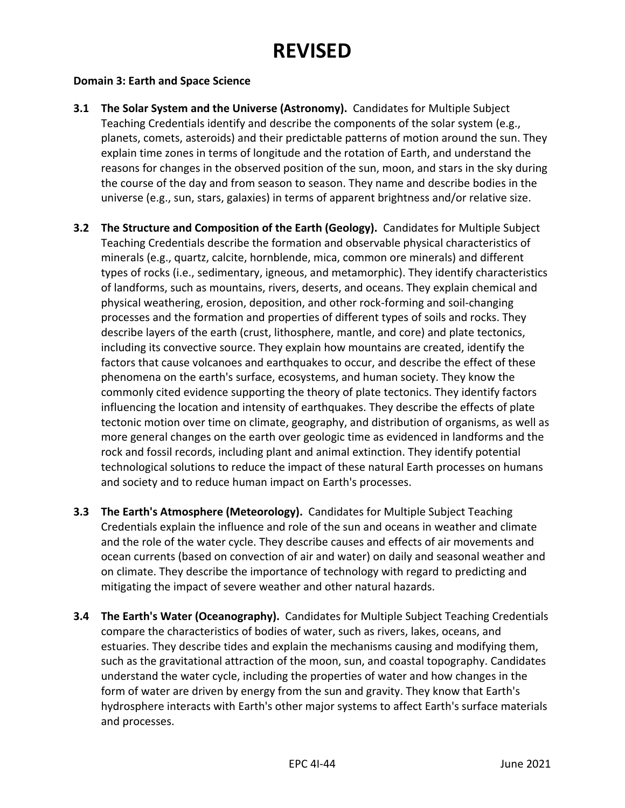#### **Domain 3: Earth and Space Science**

- **3.1 The Solar System and the Universe (Astronomy).** Candidates for Multiple Subject Teaching Credentials identify and describe the components of the solar system (e.g., planets, comets, asteroids) and their predictable patterns of motion around the sun. They explain time zones in terms of longitude and the rotation of Earth, and understand the reasons for changes in the observed position of the sun, moon, and stars in the sky during the course of the day and from season to season. They name and describe bodies in the universe (e.g., sun, stars, galaxies) in terms of apparent brightness and/or relative size.
- **3.2 The Structure and Composition of the Earth (Geology).** Candidates for Multiple Subject Teaching Credentials describe the formation and observable physical characteristics of minerals (e.g., quartz, calcite, hornblende, mica, common ore minerals) and different types of rocks (i.e., sedimentary, igneous, and metamorphic). They identify characteristics of landforms, such as mountains, rivers, deserts, and oceans. They explain chemical and physical weathering, erosion, deposition, and other rock-forming and soil-changing processes and the formation and properties of different types of soils and rocks. They describe layers of the earth (crust, lithosphere, mantle, and core) and plate tectonics, including its convective source. They explain how mountains are created, identify the factors that cause volcanoes and earthquakes to occur, and describe the effect of these phenomena on the earth's surface, ecosystems, and human society. They know the commonly cited evidence supporting the theory of plate tectonics. They identify factors influencing the location and intensity of earthquakes. They describe the effects of plate tectonic motion over time on climate, geography, and distribution of organisms, as well as more general changes on the earth over geologic time as evidenced in landforms and the rock and fossil records, including plant and animal extinction. They identify potential technological solutions to reduce the impact of these natural Earth processes on humans and society and to reduce human impact on Earth's processes.
- **3.3 The Earth's Atmosphere (Meteorology).** Candidates for Multiple Subject Teaching Credentials explain the influence and role of the sun and oceans in weather and climate and the role of the water cycle. They describe causes and effects of air movements and ocean currents (based on convection of air and water) on daily and seasonal weather and on climate. They describe the importance of technology with regard to predicting and mitigating the impact of severe weather and other natural hazards.
- **3.4 The Earth's Water (Oceanography).** Candidates for Multiple Subject Teaching Credentials compare the characteristics of bodies of water, such as rivers, lakes, oceans, and estuaries. They describe tides and explain the mechanisms causing and modifying them, such as the gravitational attraction of the moon, sun, and coastal topography. Candidates understand the water cycle, including the properties of water and how changes in the form of water are driven by energy from the sun and gravity. They know that Earth's hydrosphere interacts with Earth's other major systems to affect Earth's surface materials and processes.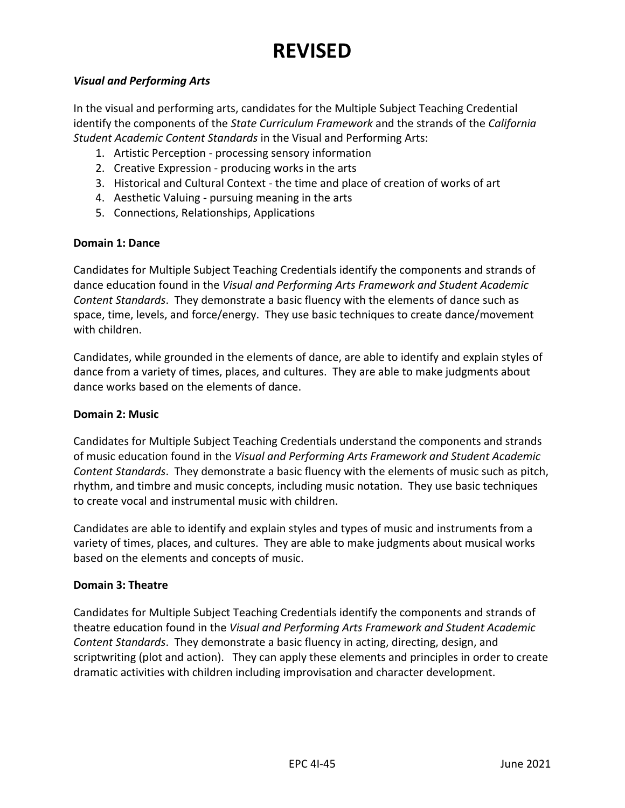#### *Visual and Performing Arts*

In the visual and performing arts, candidates for the Multiple Subject Teaching Credential identify the components of the *State Curriculum Framework* and the strands of the *California Student Academic Content Standards* in the Visual and Performing Arts:

- 1. Artistic Perception processing sensory information
- 2. Creative Expression producing works in the arts
- 3. Historical and Cultural Context the time and place of creation of works of art
- 4. Aesthetic Valuing pursuing meaning in the arts
- 5. Connections, Relationships, Applications

#### **Domain 1: Dance**

Candidates for Multiple Subject Teaching Credentials identify the components and strands of dance education found in the *Visual and Performing Arts Framework and Student Academic Content Standards*. They demonstrate a basic fluency with the elements of dance such as space, time, levels, and force/energy. They use basic techniques to create dance/movement with children.

Candidates, while grounded in the elements of dance, are able to identify and explain styles of dance from a variety of times, places, and cultures. They are able to make judgments about dance works based on the elements of dance.

#### **Domain 2: Music**

Candidates for Multiple Subject Teaching Credentials understand the components and strands of music education found in the *Visual and Performing Arts Framework and Student Academic Content Standards*. They demonstrate a basic fluency with the elements of music such as pitch, rhythm, and timbre and music concepts, including music notation. They use basic techniques to create vocal and instrumental music with children.

Candidates are able to identify and explain styles and types of music and instruments from a variety of times, places, and cultures. They are able to make judgments about musical works based on the elements and concepts of music.

#### **Domain 3: Theatre**

Candidates for Multiple Subject Teaching Credentials identify the components and strands of theatre education found in the *Visual and Performing Arts Framework and Student Academic Content Standards*. They demonstrate a basic fluency in acting, directing, design, and scriptwriting (plot and action). They can apply these elements and principles in order to create dramatic activities with children including improvisation and character development.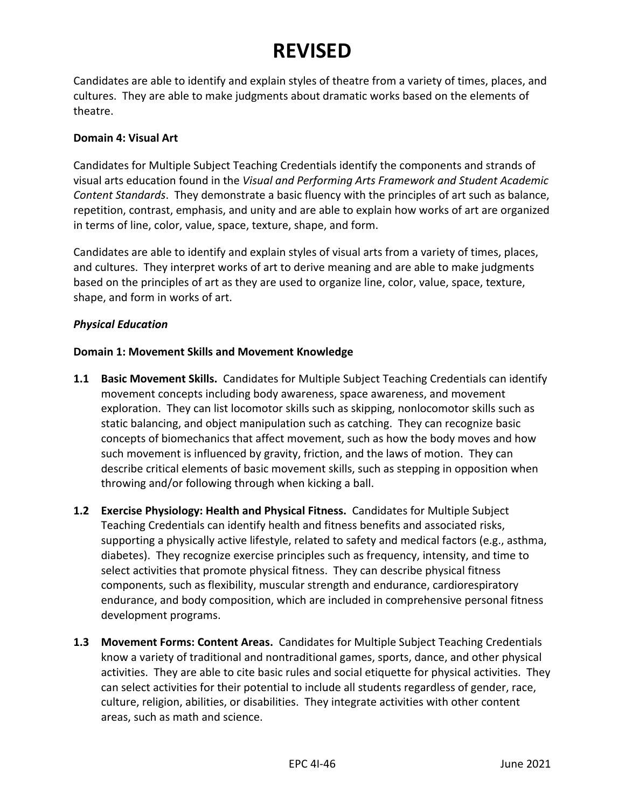Candidates are able to identify and explain styles of theatre from a variety of times, places, and cultures. They are able to make judgments about dramatic works based on the elements of theatre.

#### **Domain 4: Visual Art**

Candidates for Multiple Subject Teaching Credentials identify the components and strands of visual arts education found in the *Visual and Performing Arts Framework and Student Academic Content Standards*. They demonstrate a basic fluency with the principles of art such as balance, repetition, contrast, emphasis, and unity and are able to explain how works of art are organized in terms of line, color, value, space, texture, shape, and form.

Candidates are able to identify and explain styles of visual arts from a variety of times, places, and cultures. They interpret works of art to derive meaning and are able to make judgments based on the principles of art as they are used to organize line, color, value, space, texture, shape, and form in works of art.

#### *Physical Education*

#### **Domain 1: Movement Skills and Movement Knowledge**

- **1.1 Basic Movement Skills.** Candidates for Multiple Subject Teaching Credentials can identify movement concepts including body awareness, space awareness, and movement exploration. They can list locomotor skills such as skipping, nonlocomotor skills such as static balancing, and object manipulation such as catching. They can recognize basic concepts of biomechanics that affect movement, such as how the body moves and how such movement is influenced by gravity, friction, and the laws of motion. They can describe critical elements of basic movement skills, such as stepping in opposition when throwing and/or following through when kicking a ball.
- **1.2 Exercise Physiology: Health and Physical Fitness.** Candidates for Multiple Subject Teaching Credentials can identify health and fitness benefits and associated risks, supporting a physically active lifestyle, related to safety and medical factors (e.g., asthma, diabetes). They recognize exercise principles such as frequency, intensity, and time to select activities that promote physical fitness. They can describe physical fitness components, such as flexibility, muscular strength and endurance, cardiorespiratory endurance, and body composition, which are included in comprehensive personal fitness development programs.
- **1.3 Movement Forms: Content Areas.** Candidates for Multiple Subject Teaching Credentials know a variety of traditional and nontraditional games, sports, dance, and other physical activities. They are able to cite basic rules and social etiquette for physical activities. They can select activities for their potential to include all students regardless of gender, race, culture, religion, abilities, or disabilities. They integrate activities with other content areas, such as math and science.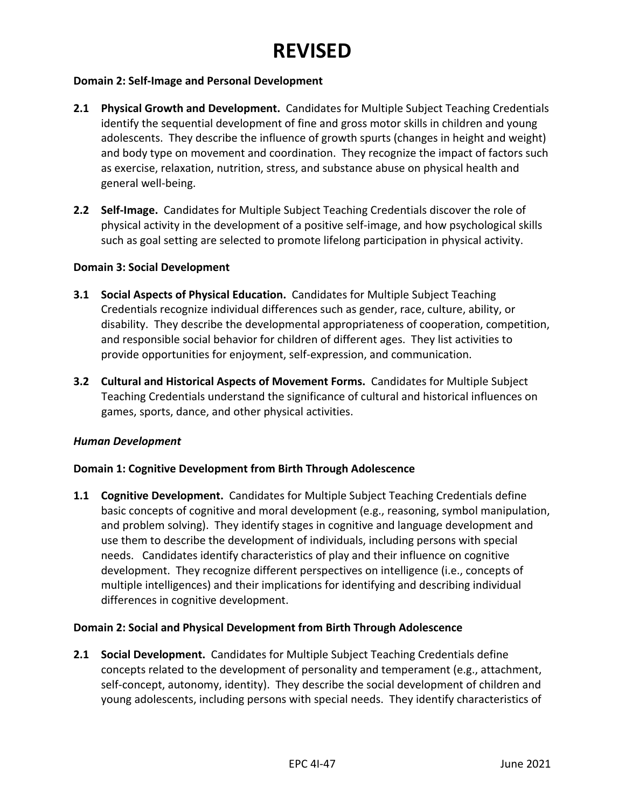#### **Domain 2: Self-Image and Personal Development**

- **2.1 Physical Growth and Development.** Candidates for Multiple Subject Teaching Credentials identify the sequential development of fine and gross motor skills in children and young adolescents. They describe the influence of growth spurts (changes in height and weight) and body type on movement and coordination. They recognize the impact of factors such as exercise, relaxation, nutrition, stress, and substance abuse on physical health and general well-being.
- **2.2 Self-Image.** Candidates for Multiple Subject Teaching Credentials discover the role of physical activity in the development of a positive self-image, and how psychological skills such as goal setting are selected to promote lifelong participation in physical activity.

#### **Domain 3: Social Development**

- **3.1 Social Aspects of Physical Education.** Candidates for Multiple Subject Teaching Credentials recognize individual differences such as gender, race, culture, ability, or disability. They describe the developmental appropriateness of cooperation, competition, and responsible social behavior for children of different ages. They list activities to provide opportunities for enjoyment, self-expression, and communication.
- **3.2 Cultural and Historical Aspects of Movement Forms.** Candidates for Multiple Subject Teaching Credentials understand the significance of cultural and historical influences on games, sports, dance, and other physical activities.

#### *Human Development*

### **Domain 1: Cognitive Development from Birth Through Adolescence**

**1.1 Cognitive Development.** Candidates for Multiple Subject Teaching Credentials define basic concepts of cognitive and moral development (e.g., reasoning, symbol manipulation, and problem solving). They identify stages in cognitive and language development and use them to describe the development of individuals, including persons with special needs. Candidates identify characteristics of play and their influence on cognitive development. They recognize different perspectives on intelligence (i.e., concepts of multiple intelligences) and their implications for identifying and describing individual differences in cognitive development.

#### **Domain 2: Social and Physical Development from Birth Through Adolescence**

**2.1 Social Development.** Candidates for Multiple Subject Teaching Credentials define concepts related to the development of personality and temperament (e.g., attachment, self-concept, autonomy, identity). They describe the social development of children and young adolescents, including persons with special needs. They identify characteristics of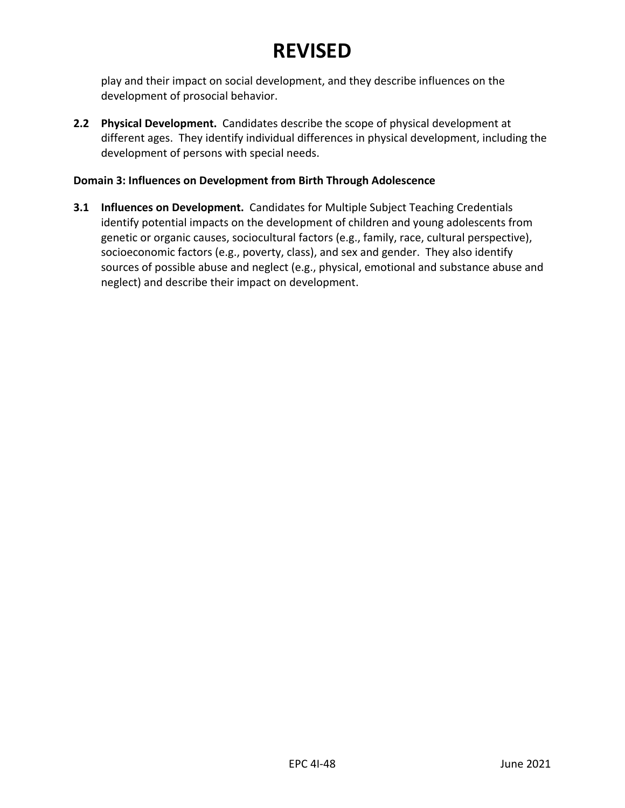play and their impact on social development, and they describe influences on the development of prosocial behavior.

**2.2 Physical Development.** Candidates describe the scope of physical development at different ages. They identify individual differences in physical development, including the development of persons with special needs.

### **Domain 3: Influences on Development from Birth Through Adolescence**

**3.1 Influences on Development.** Candidates for Multiple Subject Teaching Credentials identify potential impacts on the development of children and young adolescents from genetic or organic causes, sociocultural factors (e.g., family, race, cultural perspective), socioeconomic factors (e.g., poverty, class), and sex and gender. They also identify sources of possible abuse and neglect (e.g., physical, emotional and substance abuse and neglect) and describe their impact on development.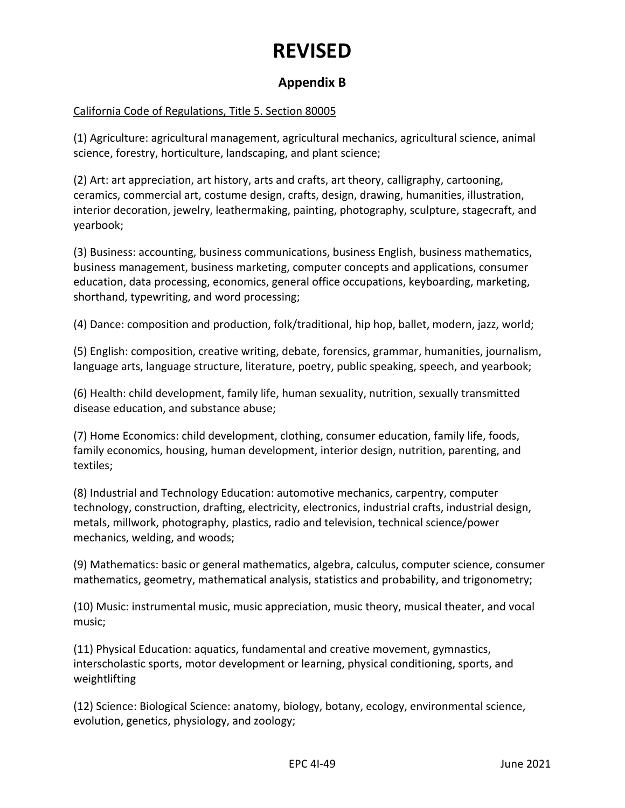### **Appendix B**

### California Code of Regulations, Title 5. Section 80005

(1) Agriculture: agricultural management, agricultural mechanics, agricultural science, animal science, forestry, horticulture, landscaping, and plant science;

(2) Art: art appreciation, art history, arts and crafts, art theory, calligraphy, cartooning, ceramics, commercial art, costume design, crafts, design, drawing, humanities, illustration, interior decoration, jewelry, leathermaking, painting, photography, sculpture, stagecraft, and yearbook;

(3) Business: accounting, business communications, business English, business mathematics, business management, business marketing, computer concepts and applications, consumer education, data processing, economics, general office occupations, keyboarding, marketing, shorthand, typewriting, and word processing;

(4) Dance: composition and production, folk/traditional, hip hop, ballet, modern, jazz, world;

(5) English: composition, creative writing, debate, forensics, grammar, humanities, journalism, language arts, language structure, literature, poetry, public speaking, speech, and yearbook;

(6) Health: child development, family life, human sexuality, nutrition, sexually transmitted disease education, and substance abuse;

(7) Home Economics: child development, clothing, consumer education, family life, foods, family economics, housing, human development, interior design, nutrition, parenting, and textiles;

(8) Industrial and Technology Education: automotive mechanics, carpentry, computer technology, construction, drafting, electricity, electronics, industrial crafts, industrial design, metals, millwork, photography, plastics, radio and television, technical science/power mechanics, welding, and woods;

(9) Mathematics: basic or general mathematics, algebra, calculus, computer science, consumer mathematics, geometry, mathematical analysis, statistics and probability, and trigonometry;

(10) Music: instrumental music, music appreciation, music theory, musical theater, and vocal music;

(11) Physical Education: aquatics, fundamental and creative movement, gymnastics, interscholastic sports, motor development or learning, physical conditioning, sports, and weightlifting

(12) Science: Biological Science: anatomy, biology, botany, ecology, environmental science, evolution, genetics, physiology, and zoology;